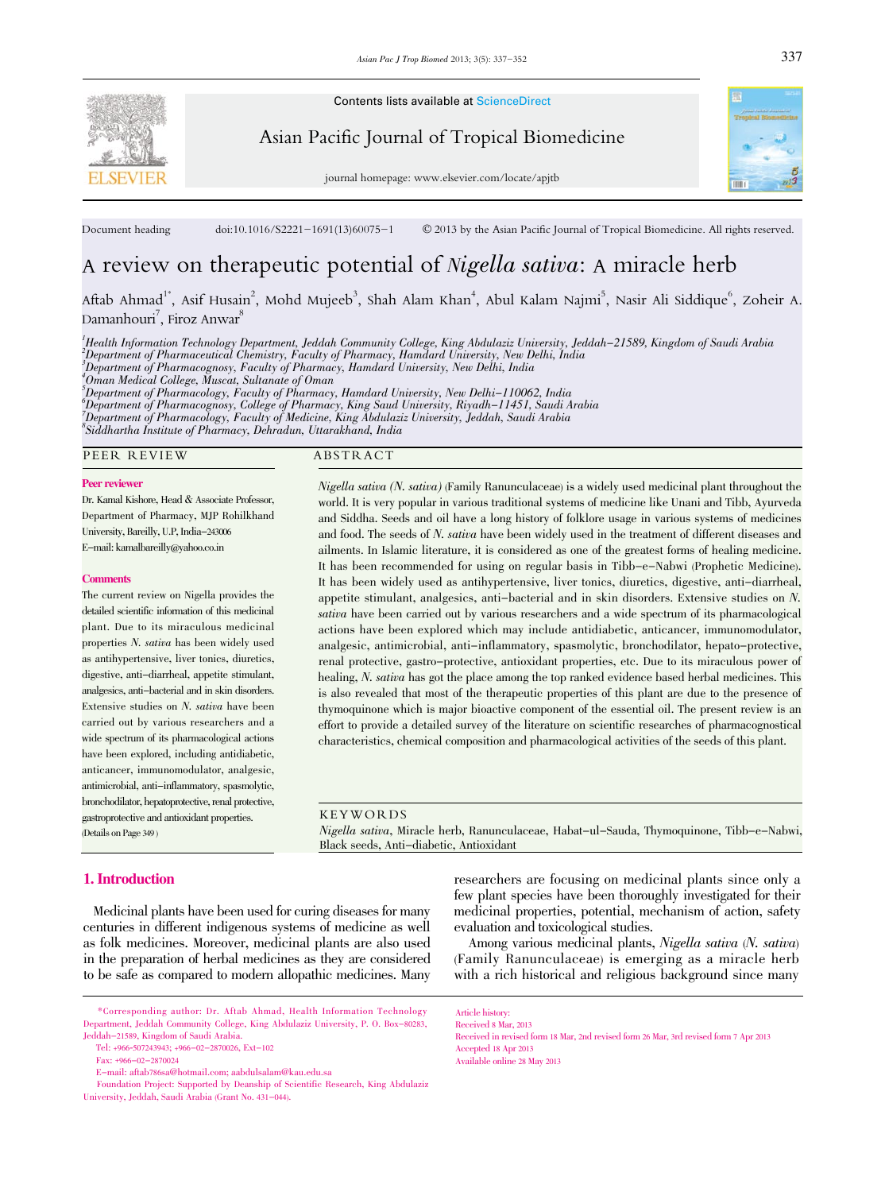Contents lists available at ScienceDirect

Asian Pacific Journal of Tropical Biomedicine

journal homepage: www.elsevier.com/locate/apjtb

Document heading doi:10.1016/S2221-1691(13)60075-1 © 2013 by the Asian Pacific Journal of Tropical Biomedicine. All rights reserved.

# A review on therapeutic potential of Nigella sativa: A miracle herb

Aftab Ahmad<sup>1\*</sup>, Asif Husain<sup>2</sup>, Mohd Mujeeb<sup>3</sup>, Shah Alam Khan<sup>4</sup>, Abul Kalam Najmi<sup>5</sup>, Nasir Ali Siddique<sup>6</sup>, Zoheir A. Damanhouri $^7$ , Firoz Anwar $^8$ 

<sup>1</sup>Health Information Technology Department, Jeddah Community College, King Abdulaziz University, Jeddah–21589, Kingdom of Saudi Arabia<br><sup>2</sup>Department of Pharmaceutical Chemistry, Faculty of Pharmacy, Hamdard University, Ne

 $^3$ Department of Pharmacognosy, Faculty of Pharmacy, Hamdard University, New Delhi, India

 $^4\!O$ man Medical College, Muscat, Sultanate of Oman

 $^5$ Department of Pharmacology, Faculty of Pharmacy, Hamdard University, New Delhi–110062, India 6 Department of Pharmacognosy, College of Pharmacy, King Saud University, Riyadh-11451, Saudi Arabia 7 Department of Pharmacology, Faculty of Medicine, King Abdulaziz University, Jeddah, Saudi Arabia  ${}^8$ Si $\tilde{d}$ dhartha Institute of Pharmacy, Dehradun, Uttarakhand, India

PEER REVIEW ABSTRACT

#### Peer reviewer

Dr. Kamal Kishore, Head & Associate Professor, Department of Pharmacy, MJP Rohilkhand University, Bareilly,U.P, India-243006 E-mail: kamalbareilly@yahoo.co.in

#### **Comments**

The current review on Nigella provides the detailed scientific information of this medicinal plant. Due to its miraculous medicinal properties N. sativa has been widely used as antihypertensive, liver tonics, diuretics, digestive, anti-diarrheal, appetite stimulant, analgesics, anti-bacterial and in skin disorders. Extensive studies on N. sativa have been carried out by various researchers and a wide spectrum of its pharmacological actions have been explored, including antidiabetic, anticancer, immunomodulator, analgesic, antimicrobial, anti-inflammatory, spasmolytic, bronchodilator, hepatoprotective, renal protective, gastroprotective and antioxidant properties. (Details on Page 349 )

Nigella sativa (N. sativa) (Family Ranunculaceae) is a widely used medicinal plant throughout the world. It is very popular in various traditional systems of medicine like Unani and Tibb, Ayurveda and Siddha. Seeds and oil have a long history of folklore usage in various systems of medicines and food. The seeds of N. sativa have been widely used in the treatment of different diseases and ailments. In Islamic literature, it is considered as one of the greatest forms of healing medicine. It has been recommended for using on regular basis in Tibb-e-Nabwi (Prophetic Medicine). It has been widely used as antihypertensive, liver tonics, diuretics, digestive, anti-diarrheal, appetite stimulant, analgesics, anti-bacterial and in skin disorders. Extensive studies on N. sativa have been carried out by various researchers and a wide spectrum of its pharmacological actions have been explored which may include antidiabetic, anticancer, immunomodulator, analgesic, antimicrobial, anti-inflammatory, spasmolytic, bronchodilator, hepato-protective, renal protective, gastro-protective, antioxidant properties, etc. Due to its miraculous power of healing, N. sativa has got the place among the top ranked evidence based herbal medicines. This is also revealed that most of the therapeutic properties of this plant are due to the presence of thymoquinone which is major bioactive component of the essential oil. The present review is an effort to provide a detailed survey of the literature on scientific researches of pharmacognostical characteristics, chemical composition and pharmacological activities of the seeds of this plant.

KEYWORDS

Nigella sativa, Miracle herb, Ranunculaceae, Habat-ul-Sauda, Thymoquinone, Tibb-e-Nabwi, Black seeds, Anti-diabetic, Antioxidant

# 1. Introduction

Medicinal plants have been used for curing diseases for many centuries in different indigenous systems of medicine as well as folk medicines. Moreover, medicinal plants are also used in the preparation of herbal medicines as they are considered to be safe as compared to modern allopathic medicines. Many

Tel: +966-507243943; +966-02-2870026, Ext-102

researchers are focusing on medicinal plants since only a few plant species have been thoroughly investigated for their medicinal properties, potential, mechanism of action, safety evaluation and toxicological studies.

Among various medicinal plants, Nigella sativa (N. sativa) (Family Ranunculaceae) is emerging as a miracle herb with a rich historical and religious background since many

Article history: Received 8 Mar, 2013 Received in revised form 18 Mar, 2nd revised form 26 Mar, 3rd revised form 7 Apr 2013 Accepted 18 Apr 2013 Available online 28 May 2013



<sup>\*</sup>Corresponding author: Dr. Aftab Ahmad, Health Information Technology Department, Jeddah Community College, King Abdulaziz University, P. O. Box-80283, Jeddah-21589, Kingdom of Saudi Arabia.

Fax: +966-02-2870024

E-mail: aftab786sa@hotmail.com; aabdulsalam@kau.edu.sa

Foundation Project: Supported by Deanship of Scientific Research, King Abdulaziz University, Jeddah, Saudi Arabia (Grant No. 431-044).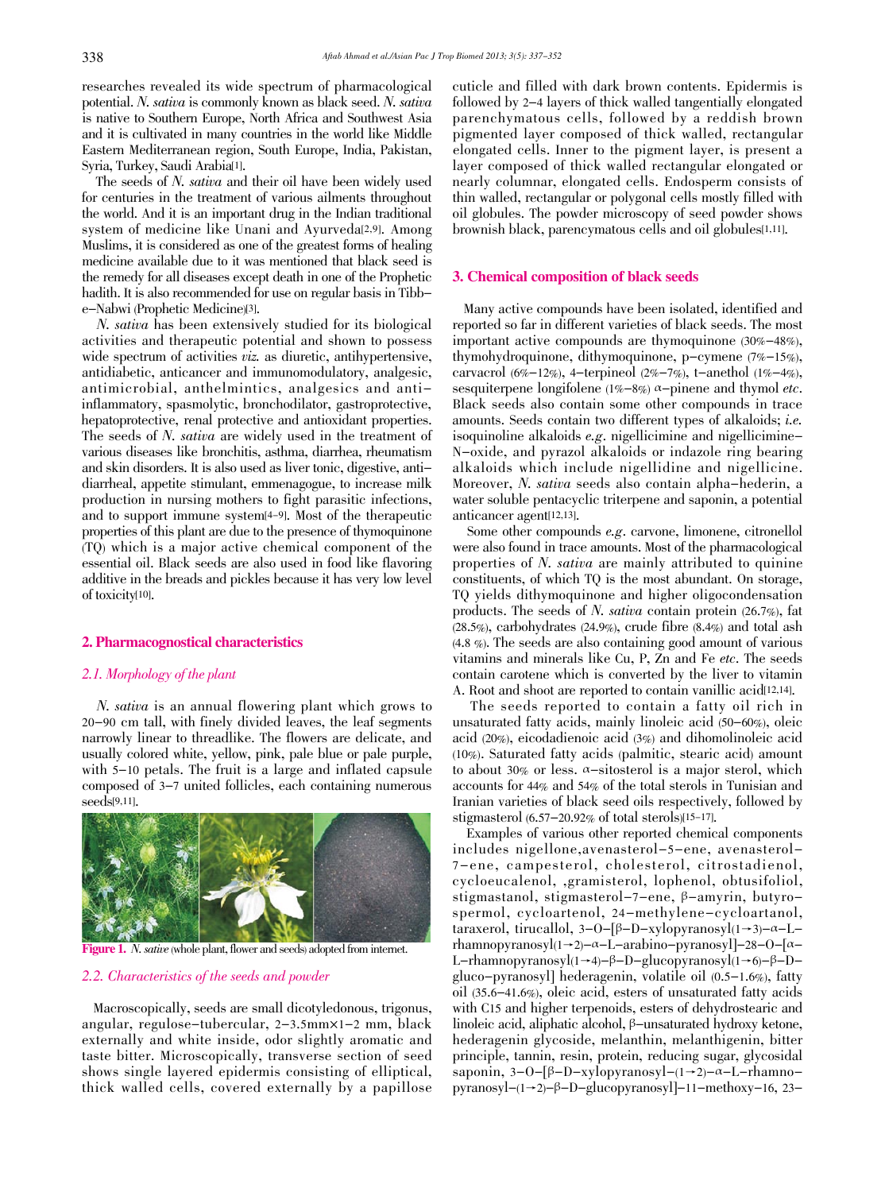researches revealed its wide spectrum of pharmacological potential. N. sativa is commonly known as black seed. N. sativa is native to Southern Europe, North Africa and Southwest Asia and it is cultivated in many countries in the world like Middle Eastern Mediterranean region, South Europe, India, Pakistan, Syria, Turkey, Saudi Arabia[1].

The seeds of N. sativa and their oil have been widely used for centuries in the treatment of various ailments throughout the world. And it is an important drug in the Indian traditional system of medicine like Unani and Ayurveda<sup>[2,9]</sup>. Among Muslims, it is considered as one of the greatest forms of healing medicine available due to it was mentioned that black seed is the remedy for all diseases except death in one of the Prophetic hadith. It is also recommended for use on regular basis in Tibbe-Nabwi (Prophetic Medicine)[3].

N. sativa has been extensively studied for its biological activities and therapeutic potential and shown to possess wide spectrum of activities viz. as diuretic, antihypertensive, antidiabetic, anticancer and immunomodulatory, analgesic, antimicrobial, anthelmintics, analgesics and antiinflammatory, spasmolytic, bronchodilator, gastroprotective, hepatoprotective, renal protective and antioxidant properties. The seeds of N. sativa are widely used in the treatment of various diseases like bronchitis, asthma, diarrhea, rheumatism and skin disorders. It is also used as liver tonic, digestive, antidiarrheal, appetite stimulant, emmenagogue, to increase milk production in nursing mothers to fight parasitic infections, and to support immune system[4-9]. Most of the therapeutic properties of this plant are due to the presence of thymoquinone (TQ) which is a major active chemical component of the essential oil. Black seeds are also used in food like flavoring additive in the breads and pickles because it has very low level of toxicity[10].

#### 2. Pharmacognostical characteristics

# 2.1. Morphology of the plant

N. sativa is an annual flowering plant which grows to 20-90 cm tall, with finely divided leaves, the leaf segments narrowly linear to threadlike. The flowers are delicate, and usually colored white, yellow, pink, pale blue or pale purple, with 5-10 petals. The fruit is a large and inflated capsule composed of 3-7 united follicles, each containing numerous seeds[9,11].



Figure 1. N. sative (whole plant, flower and seeds) adopted from internet.

# 2.2. Characteristics of the seeds and powder

Macroscopically, seeds are small dicotyledonous, trigonus, angular, regulose-tubercular, 2-3.5mm×1-2 mm, black externally and white inside, odor slightly aromatic and taste bitter. Microscopically, transverse section of seed shows single layered epidermis consisting of elliptical, thick walled cells, covered externally by a papillose

cuticle and filled with dark brown contents. Epidermis is followed by 2-4 layers of thick walled tangentially elongated parenchymatous cells, followed by a reddish brown pigmented layer composed of thick walled, rectangular elongated cells. Inner to the pigment layer, is present a layer composed of thick walled rectangular elongated or nearly columnar, elongated cells. Endosperm consists of thin walled, rectangular or polygonal cells mostly filled with oil globules. The powder microscopy of seed powder shows brownish black, parencymatous cells and oil globules[1,11].

# 3. Chemical composition of black seeds

Many active compounds have been isolated, identified and reported so far in different varieties of black seeds. The most important active compounds are thymoquinone (30%-48%), thymohydroquinone, dithymoquinone, p-cymene (7%-15%), carvacrol (6%-12%), 4-terpineol (2%-7%), t-anethol (1%-4%), sesquiterpene longifolene (1%-8%)  $\alpha$ -pinene and thymol *etc*. Black seeds also contain some other compounds in trace amounts. Seeds contain two different types of alkaloids; i.e. isoquinoline alkaloids e.g. nigellicimine and nigellicimine-N-oxide, and pyrazol alkaloids or indazole ring bearing alkaloids which include nigellidine and nigellicine. Moreover, N. sativa seeds also contain alpha-hederin, a water soluble pentacyclic triterpene and saponin, a potential anticancer agent[12,13].

Some other compounds e.g. carvone, limonene, citronellol were also found in trace amounts. Most of the pharmacological properties of N. sativa are mainly attributed to quinine constituents, of which TQ is the most abundant. On storage, TQ yields dithymoquinone and higher oligocondensation products. The seeds of N. sativa contain protein (26.7%), fat  $(28.5\%)$ , carbohydrates  $(24.9\%)$ , crude fibre  $(8.4\%)$  and total ash (4.8 %). The seeds are also containing good amount of various vitamins and minerals like Cu, P, Zn and Fe etc. The seeds contain carotene which is converted by the liver to vitamin A. Root and shoot are reported to contain vanillic acid[12,14].

The seeds reported to contain a fatty oil rich in unsaturated fatty acids, mainly linoleic acid (50-60%), oleic acid (20%), eicodadienoic acid (3%) and dihomolinoleic acid (10%). Saturated fatty acids (palmitic, stearic acid) amount to about 30% or less.  $\alpha$ -sitosterol is a major sterol, which accounts for 44% and 54% of the total sterols in Tunisian and Iranian varieties of black seed oils respectively, followed by stigmasterol (6.57-20.92% of total sterols)[15-17].

Examples of various other reported chemical components includes nigellone,avenasterol-5-ene, avenasterol-7-ene, campesterol, cholesterol, citrostadienol, cycloeucalenol, ,gramisterol, lophenol, obtusifoliol, stigmastanol, stigmasterol-7-ene, <sup>β</sup>-amyrin, butyrospermol, cycloartenol, 24-methylene-cycloartanol, taraxerol, tirucallol, 3-O-[β-D-xylopyranosyl(1→3)-α-Lrhamnopyranosyl(1→2)-α-L-arabino-pyranosyl]-28-O-[α-L-rhamnopyranosyl(1→4)-β-D-glucopyranosyl(1→6)-β-Dgluco-pyranosyl] hederagenin, volatile oil (0.5-1.6%), fatty oil (35.6-41.6%), oleic acid, esters of unsaturated fatty acids with C15 and higher terpenoids, esters of dehydrostearic and linoleic acid, aliphatic alcohol, <sup>β</sup>-unsaturated hydroxy ketone, hederagenin glycoside, melanthin, melanthigenin, bitter principle, tannin, resin, protein, reducing sugar, glycosidal saponin, 3-O- $\beta$ -D-xylopyranosyl- $(1\rightarrow 2)$ - $\alpha$ -L-rhamnopyranosyl-(1→2)-β-D-glucopyranosyl]-11-methoxy-16, 23-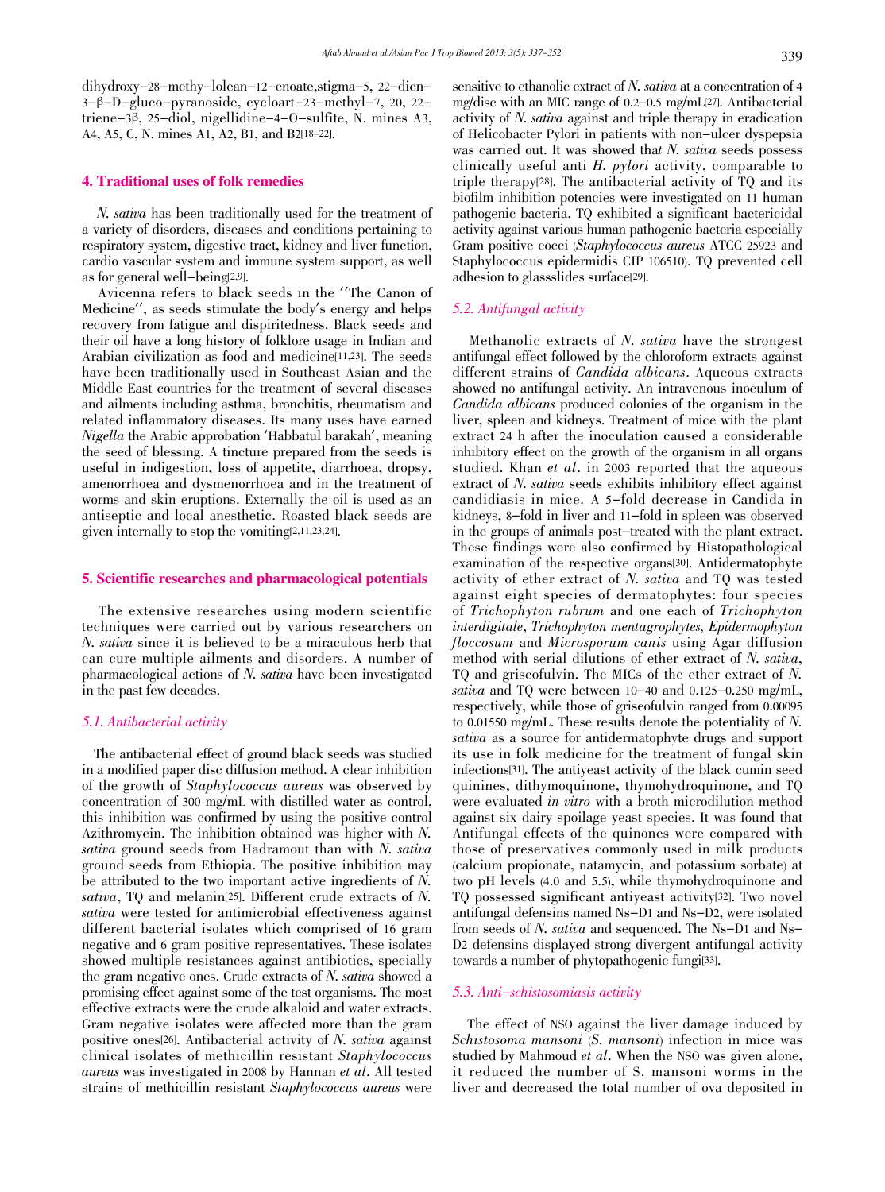dihydroxy-28-methy-lolean-12-enoate,stigma-5, 22-dien-3-β-D-gluco-pyranoside, cycloart-23-methyl-7, 20, 22 triene-3β, 25-diol, nigellidine-4-O-sulfite, N. mines A3, A4, A5, C, N. mines A1, A2, B1, and B2[18-22].

#### 4. Traditional uses of folk remedies

N. sativa has been traditionally used for the treatment of a variety of disorders, diseases and conditions pertaining to respiratory system, digestive tract, kidney and liver function, cardio vascular system and immune system support, as well as for general well-being[2,9].

Avicenna refers to black seeds in the ''The Canon of Medicine'', as seeds stimulate the body's energy and helps recovery from fatigue and dispiritedness. Black seeds and their oil have a long history of folklore usage in Indian and Arabian civilization as food and medicine[11,23]. The seeds have been traditionally used in Southeast Asian and the Middle East countries for the treatment of several diseases and ailments including asthma, bronchitis, rheumatism and related inflammatory diseases. Its many uses have earned Nigella the Arabic approbation 'Habbatul barakah', meaning the seed of blessing. A tincture prepared from the seeds is useful in indigestion, loss of appetite, diarrhoea, dropsy, amenorrhoea and dysmenorrhoea and in the treatment of worms and skin eruptions. Externally the oil is used as an antiseptic and local anesthetic. Roasted black seeds are given internally to stop the vomiting[2,11,23,24].

#### 5. Scientific researches and pharmacological potentials

The extensive researches using modern scientific techniques were carried out by various researchers on N. sativa since it is believed to be a miraculous herb that can cure multiple ailments and disorders. A number of pharmacological actions of N. sativa have been investigated in the past few decades.

# 5.1. Antibacterial activity

The antibacterial effect of ground black seeds was studied in a modified paper disc diffusion method. A clear inhibition of the growth of Staphylococcus aureus was observed by concentration of 300 mg/mL with distilled water as control, this inhibition was confirmed by using the positive control Azithromycin. The inhibition obtained was higher with N. sativa ground seeds from Hadramout than with N. sativa ground seeds from Ethiopia. The positive inhibition may be attributed to the two important active ingredients of N. sativa, TQ and melanin[25]. Different crude extracts of N. sativa were tested for antimicrobial effectiveness against different bacterial isolates which comprised of 16 gram negative and 6 gram positive representatives. These isolates showed multiple resistances against antibiotics, specially the gram negative ones. Crude extracts of N. sativa showed a promising effect against some of the test organisms. The most effective extracts were the crude alkaloid and water extracts. Gram negative isolates were affected more than the gram positive ones[26]. Antibacterial activity of N. sativa against clinical isolates of methicillin resistant Staphylococcus aureus was investigated in <sup>2008</sup> by Hannan et al. All tested strains of methicillin resistant Staphylococcus aureus were

sensitive to ethanolic extract of N. sativa at a concentration of 4 mg/disc with an MIC range of 0.2-0.5 mg/mL[27]. Antibacterial activity of N. sativa against and triple therapy in eradication of Helicobacter Pylori in patients with non-ulcer dyspepsia was carried out. It was showed that N. sativa seeds possess clinically useful anti H. pylori activity, comparable to triple therapy[28]. The antibacterial activity of TQ and its biofilm inhibition potencies were investigated on 11 human pathogenic bacteria. TQ exhibited a significant bactericidal activity against various human pathogenic bacteria especially Gram positive cocci (Staphylococcus aureus ATCC <sup>25923</sup> and Staphylococcus epidermidis CIP 106510). TQ prevented cell adhesion to glassslides surface[29].

# 5.2. Antifungal activity

Methanolic extracts of N. sativa have the strongest antifungal effect followed by the chloroform extracts against different strains of *Candida albicans*. Aqueous extracts showed no antifungal activity. An intravenous inoculum of Candida albicans produced colonies of the organism in the liver, spleen and kidneys. Treatment of mice with the plant extract 24 h after the inoculation caused a considerable inhibitory effect on the growth of the organism in all organs studied. Khan *et al.* in 2003 reported that the aqueous extract of N. sativa seeds exhibits inhibitory effect against candidiasis in mice. A 5-fold decrease in Candida in kidneys, 8-fold in liver and 11-fold in spleen was observed in the groups of animals post-treated with the plant extract. These findings were also confirmed by Histopathological examination of the respective organs[30]. Antidermatophyte activity of ether extract of N. sativa and TQ was tested against eight species of dermatophytes: four species of Trichophyton rubrum and one each of Trichophyton interdigitale, Trichophyton mentagrophytes, Epidermophyton floccosum and Microsporum canis using Agar diffusion method with serial dilutions of ether extract of N. sativa, TQ and griseofulvin. The MICs of the ether extract of N. sativa and TQ were between 10-40 and 0.125-0.250 mg/mL, respectively, while those of griseofulvin ranged from 0.00095 to 0.01550 mg/mL. These results denote the potentiality of N. sativa as a source for antidermatophyte drugs and support its use in folk medicine for the treatment of fungal skin infections[31]. The antiyeast activity of the black cumin seed quinines, dithymoquinone, thymohydroquinone, and TQ were evaluated in vitro with a broth microdilution method against six dairy spoilage yeast species. It was found that Antifungal effects of the quinones were compared with those of preservatives commonly used in milk products (calcium propionate, natamycin, and potassium sorbate) at two pH levels (4.0 and 5.5), while thymohydroquinone and TQ possessed significant antiyeast activity[32]. Two novel antifungal defensins named Ns-D1 and Ns-D2, were isolated from seeds of N. sativa and sequenced. The Ns-D1 and Ns-D2 defensins displayed strong divergent antifungal activity towards a number of phytopathogenic fungi[33].

#### 5.3. Anti-schistosomiasis activity

The effect of NSO against the liver damage induced by Schistosoma mansoni (S. mansoni) infection in mice was studied by Mahmoud *et al*. When the NSO was given alone, it reduced the number of S. mansoni worms in the liver and decreased the total number of ova deposited in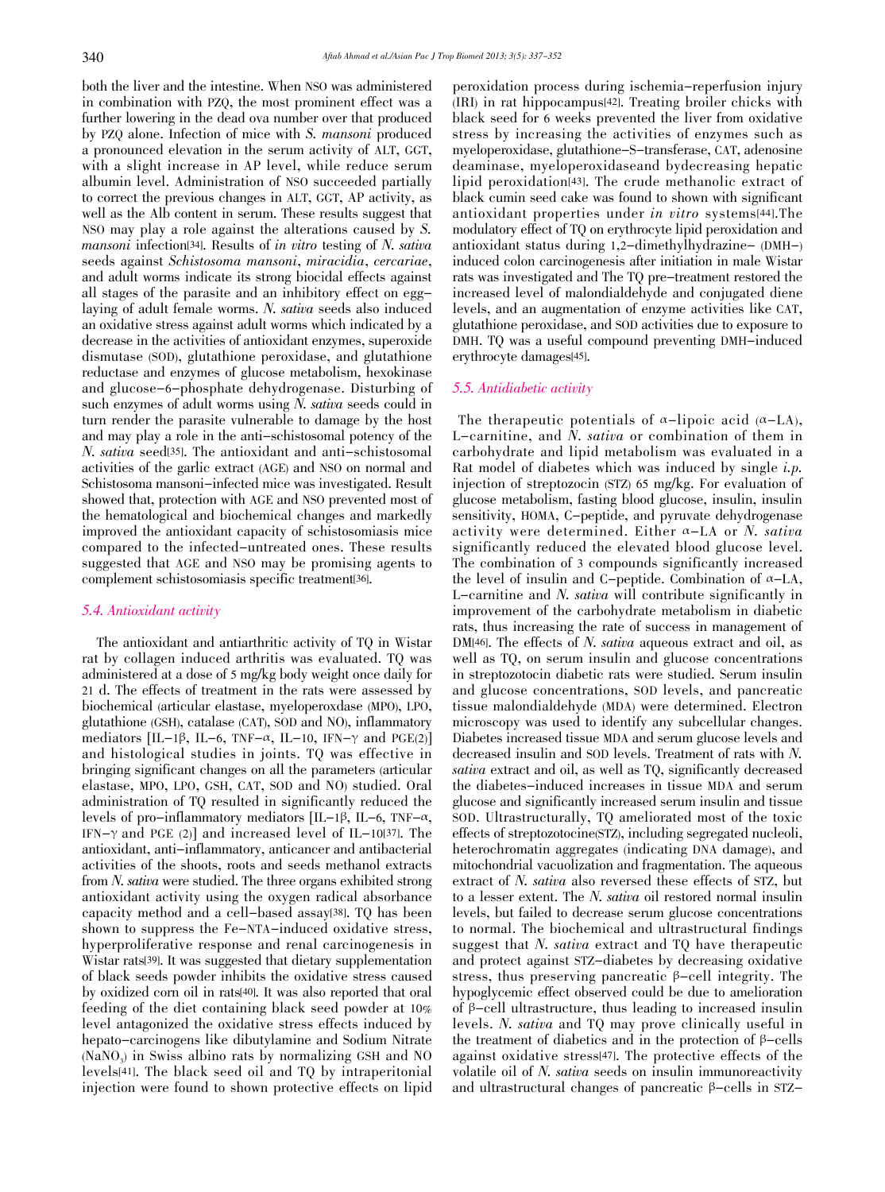both the liver and the intestine. When NSO was administered in combination with PZQ, the most prominent effect was a further lowering in the dead ova number over that produced by PZQ alone. Infection of mice with S. mansoni produced a pronounced elevation in the serum activity of ALT, GGT, with a slight increase in AP level, while reduce serum albumin level. Administration of NSO succeeded partially to correct the previous changes in ALT, GGT, AP activity, as well as the Alb content in serum. These results suggest that NSO may play a role against the alterations caused by S. mansoni infection<sup>[34]</sup>. Results of in vitro testing of N. sativa seeds against Schistosoma mansoni, miracidia, cercariae, and adult worms indicate its strong biocidal effects against all stages of the parasite and an inhibitory effect on egglaying of adult female worms. N. sativa seeds also induced an oxidative stress against adult worms which indicated by a decrease in the activities of antioxidant enzymes, superoxide dismutase (SOD), glutathione peroxidase, and glutathione reductase and enzymes of glucose metabolism, hexokinase and glucose-6-phosphate dehydrogenase. Disturbing of such enzymes of adult worms using N. sativa seeds could in turn render the parasite vulnerable to damage by the host and may play a role in the anti-schistosomal potency of the N. sativa seed[35]. The antioxidant and anti-schistosomal activities of the garlic extract (AGE) and NSO on normal and Schistosoma mansoni-infected mice was investigated. Result showed that, protection with AGE and NSO prevented most of the hematological and biochemical changes and markedly improved the antioxidant capacity of schistosomiasis mice compared to the infected-untreated ones. These results suggested that AGE and NSO may be promising agents to complement schistosomiasis specific treatment[36].

# 5.4. Antioxidant activity

The antioxidant and antiarthritic activity of TQ in Wistar rat by collagen induced arthritis was evaluated. TQ was administered at a dose of 5 mg/kg body weight once daily for 21 d. The effects of treatment in the rats were assessed by biochemical (articular elastase, myeloperoxdase (MPO), LPO, glutathione (GSH), catalase (CAT), SOD and NO), inflammatory mediators [IL-1β, IL-6, TNF- $\alpha$ , IL-10, IFN- $\gamma$  and PGE(2)] and histological studies in joints. TQ was effective in bringing significant changes on all the parameters (articular elastase, MPO, LPO, GSH, CAT, SOD and NO) studied. Oral administration of TQ resulted in significantly reduced the levels of pro-inflammatory mediators [IL-1β, IL-6, TNF-α, IFN- $\gamma$  and PGE (2)] and increased level of IL-10[37]. The antioxidant, anti-inflammatory, anticancer and antibacterial activities of the shoots, roots and seeds methanol extracts from N. sativa were studied. The three organs exhibited strong antioxidant activity using the oxygen radical absorbance capacity method and a cell-based assay[38]. TQ has been shown to suppress the Fe-NTA-induced oxidative stress, hyperproliferative response and renal carcinogenesis in Wistar rats[39]. It was suggested that dietary supplementation of black seeds powder inhibits the oxidative stress caused by oxidized corn oil in rats[40]. It was also reported that oral feeding of the diet containing black seed powder at 10% level antagonized the oxidative stress effects induced by hepato-carcinogens like dibutylamine and Sodium Nitrate  $(NaNO<sub>3</sub>)$  in Swiss albino rats by normalizing GSH and NO levels[41]. The black seed oil and TQ by intraperitonial injection were found to shown protective effects on lipid

peroxidation process during ischemia-reperfusion injury (IRI) in rat hippocampus[42]. Treating broiler chicks with black seed for 6 weeks prevented the liver from oxidative stress by increasing the activities of enzymes such as myeloperoxidase, glutathione-S-transferase, CAT, adenosine deaminase, myeloperoxidaseand bydecreasing hepatic lipid peroxidation[43]. The crude methanolic extract of black cumin seed cake was found to shown with significant antioxidant properties under in vitro systems[44].The modulatory effect of TQ on erythrocyte lipid peroxidation and antioxidant status during 1,2-dimethylhydrazine- (DMH-) induced colon carcinogenesis after initiation in male Wistar rats was investigated and The TQ pre-treatment restored the increased level of malondialdehyde and conjugated diene levels, and an augmentation of enzyme activities like CAT, glutathione peroxidase, and SOD activities due to exposure to DMH. TQ was a useful compound preventing DMH-induced erythrocyte damages[45].

# 5.5. Antidiabetic activity

The therapeutic potentials of  $\alpha$ -lipoic acid ( $\alpha$ -LA), L-carnitine, and  $\overline{N}$  sativa or combination of them in carbohydrate and lipid metabolism was evaluated in a Rat model of diabetes which was induced by single i.p. injection of streptozocin (STZ) 65 mg/kg. For evaluation of glucose metabolism, fasting blood glucose, insulin, insulin sensitivity, HOMA, C-peptide, and pyruvate dehydrogenase activity were determined. Either  $\alpha$ -LA or N. sativa significantly reduced the elevated blood glucose level. The combination of 3 compounds significantly increased the level of insulin and C-peptide. Combination of  $\alpha$ -LA, L-carnitine and N. sativa will contribute significantly in improvement of the carbohydrate metabolism in diabetic rats, thus increasing the rate of success in management of DM<sup>[46]</sup>. The effects of N. sativa aqueous extract and oil, as well as TQ, on serum insulin and glucose concentrations in streptozotocin diabetic rats were studied. Serum insulin and glucose concentrations, SOD levels, and pancreatic tissue malondialdehyde (MDA) were determined. Electron microscopy was used to identify any subcellular changes. Diabetes increased tissue MDA and serum glucose levels and decreased insulin and SOD levels. Treatment of rats with N. sativa extract and oil, as well as TQ, significantly decreased the diabetes-induced increases in tissue MDA and serum glucose and significantly increased serum insulin and tissue SOD. Ultrastructurally, TQ ameliorated most of the toxic effects of streptozotocine(STZ), including segregated nucleoli, heterochromatin aggregates (indicating DNA damage), and mitochondrial vacuolization and fragmentation. The aqueous extract of N. sativa also reversed these effects of STZ, but to a lesser extent. The N. sativa oil restored normal insulin levels, but failed to decrease serum glucose concentrations to normal. The biochemical and ultrastructural findings suggest that N. sativa extract and TQ have therapeutic and protect against STZ-diabetes by decreasing oxidative stress, thus preserving pancreatic  $\beta$ -cell integrity. The hypoglycemic effect observed could be due to amelioration of <sup>β</sup>-cell ultrastructure, thus leading to increased insulin levels. N. sativa and TQ may prove clinically useful in the treatment of diabetics and in the protection of β-cells against oxidative stress[47]. The protective effects of the volatile oil of N. sativa seeds on insulin immunoreactivity and ultrastructural changes of pancreatic <sup>β</sup>-cells in STZ-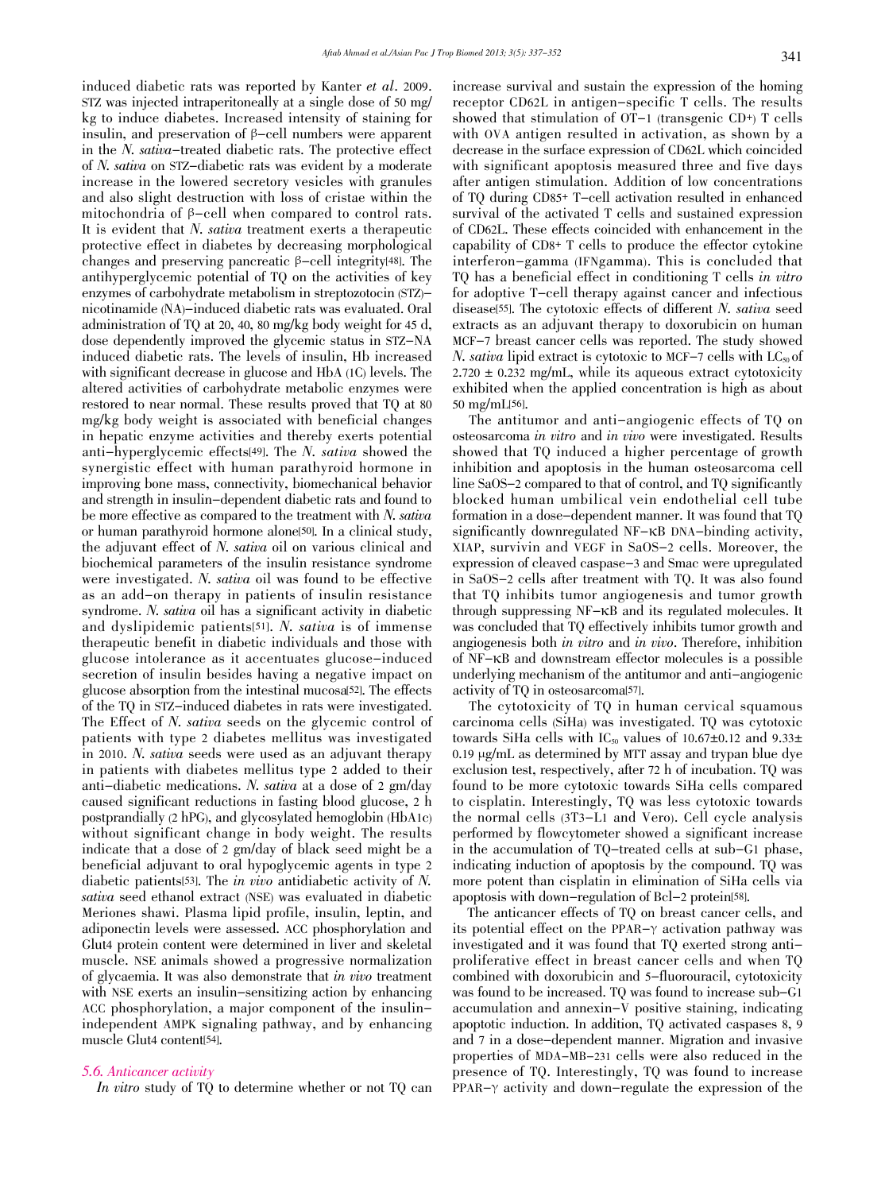induced diabetic rats was reported by Kanter et al. 2009. STZ was injected intraperitoneally at a single dose of 50 mg/ kg to induce diabetes. Increased intensity of staining for insulin, and preservation of <sup>β</sup>-cell numbers were apparent in the N. sativa-treated diabetic rats. The protective effect of N. sativa on STZ-diabetic rats was evident by a moderate increase in the lowered secretory vesicles with granules and also slight destruction with loss of cristae within the mitochondria of <sup>β</sup>-cell when compared to control rats. It is evident that N. sativa treatment exerts a therapeutic protective effect in diabetes by decreasing morphological changes and preserving pancreatic <sup>β</sup>-cell integrity[48]. The antihyperglycemic potential of TQ on the activities of key enzymes of carbohydrate metabolism in streptozotocin (STZ) nicotinamide (NA)-induced diabetic rats was evaluated. Oral administration of TQ at 20, 40, 80 mg/kg body weight for 45 d, dose dependently improved the glycemic status in STZ-NA induced diabetic rats. The levels of insulin, Hb increased with significant decrease in glucose and HbA (1C) levels. The altered activities of carbohydrate metabolic enzymes were restored to near normal. These results proved that TQ at 80 mg/kg body weight is associated with beneficial changes in hepatic enzyme activities and thereby exerts potential anti-hyperglycemic effects[49]. The N. sativa showed the synergistic effect with human parathyroid hormone in improving bone mass, connectivity, biomechanical behavior and strength in insulin-dependent diabetic rats and found to be more effective as compared to the treatment with N. sativa or human parathyroid hormone alone[50]. In a clinical study, the adjuvant effect of N. sativa oil on various clinical and biochemical parameters of the insulin resistance syndrome were investigated. N. sativa oil was found to be effective as an add-on therapy in patients of insulin resistance syndrome. N. *sativa* oil has a significant activity in diabetic and dyslipidemic patients[51]. N. sativa is of immense therapeutic benefit in diabetic individuals and those with glucose intolerance as it accentuates glucose-induced secretion of insulin besides having a negative impact on glucose absorption from the intestinal mucosa[52]. The effects of the TQ in STZ-induced diabetes in rats were investigated. The Effect of N. sativa seeds on the glycemic control of patients with type 2 diabetes mellitus was investigated in 2010. N. sativa seeds were used as an adjuvant therapy in patients with diabetes mellitus type 2 added to their anti-diabetic medications. N. sativa at a dose of <sup>2</sup> gm/day caused significant reductions in fasting blood glucose, 2 h postprandially (2 hPG), and glycosylated hemoglobin (HbA1c) without significant change in body weight. The results indicate that a dose of 2 gm/day of black seed might be a beneficial adjuvant to oral hypoglycemic agents in type 2 diabetic patients[53]. The in vivo antidiabetic activity of N. sativa seed ethanol extract (NSE) was evaluated in diabetic Meriones shawi. Plasma lipid profile, insulin, leptin, and adiponectin levels were assessed. ACC phosphorylation and Glut4 protein content were determined in liver and skeletal muscle. NSE animals showed a progressive normalization of glycaemia. It was also demonstrate that in vivo treatment with NSE exerts an insulin-sensitizing action by enhancing ACC phosphorylation, a major component of the insulinindependent AMPK signaling pathway, and by enhancing muscle Glut4 content[54].

#### 5.6. Anticancer activity

In vitro study of TQ to determine whether or not TQ can

increase survival and sustain the expression of the homing receptor CD62L in antigen-specific T cells. The results showed that stimulation of OT-1 (transgenic CD+) T cells with OVA antigen resulted in activation, as shown by a decrease in the surface expression of CD62L which coincided with significant apoptosis measured three and five days after antigen stimulation. Addition of low concentrations of TQ during CD85+ T-cell activation resulted in enhanced survival of the activated T cells and sustained expression of CD62L. These effects coincided with enhancement in the capability of CD8+ T cells to produce the effector cytokine interferon-gamma (IFNgamma). This is concluded that TQ has a beneficial effect in conditioning T cells in vitro for adoptive T-cell therapy against cancer and infectious disease<sup>[55]</sup>. The cytotoxic effects of different N. sativa seed extracts as an adjuvant therapy to doxorubicin on human MCF-7 breast cancer cells was reported. The study showed N. sativa lipid extract is cytotoxic to MCF-7 cells with  $LC_{50}$  of  $2.720 \pm 0.232$  mg/mL, while its aqueous extract cytotoxicity exhibited when the applied concentration is high as about 50 mg/mL[56].

The antitumor and anti-angiogenic effects of TQ on osteosarcoma in vitro and in vivo were investigated. Results showed that TQ induced a higher percentage of growth inhibition and apoptosis in the human osteosarcoma cell line SaOS-2 compared to that of control, and TQ significantly blocked human umbilical vein endothelial cell tube formation in a dose-dependent manner. It was found that TQ significantly downregulated NF-κB DNA-binding activity, XIAP, survivin and VEGF in SaOS-2 cells. Moreover, the expression of cleaved caspase-3 and Smac were upregulated in SaOS-2 cells after treatment with TQ. It was also found that TQ inhibits tumor angiogenesis and tumor growth through suppressing NF-κB and its regulated molecules. It was concluded that TQ effectively inhibits tumor growth and angiogenesis both in vitro and in vivo. Therefore, inhibition of NF-κB and downstream effector molecules is a possible underlying mechanism of the antitumor and anti-angiogenic activity of TQ in osteosarcoma[57].

The cytotoxicity of TQ in human cervical squamous carcinoma cells (SiHa) was investigated. TQ was cytotoxic towards SiHa cells with IC<sub>50</sub> values of 10.67 $\pm$ 0.12 and 9.33 $\pm$ 0.19 µg/mL as determined by MTT assay and trypan blue dye exclusion test, respectively, after 72 h of incubation. TQ was found to be more cytotoxic towards SiHa cells compared to cisplatin. Interestingly, TQ was less cytotoxic towards the normal cells (3T3-L1 and Vero). Cell cycle analysis performed by flowcytometer showed a significant increase in the accumulation of TQ-treated cells at sub-G1 phase, indicating induction of apoptosis by the compound. TQ was more potent than cisplatin in elimination of SiHa cells via apoptosis with down-regulation of Bcl-2 protein[58].

The anticancer effects of TQ on breast cancer cells, and its potential effect on the PPAR-<sup>γ</sup> activation pathway was investigated and it was found that TQ exerted strong antiproliferative effect in breast cancer cells and when TQ combined with doxorubicin and 5-fluorouracil, cytotoxicity was found to be increased. TQ was found to increase sub-G1 accumulation and annexin-V positive staining, indicating apoptotic induction. In addition, TQ activated caspases 8, 9 and 7 in a dose-dependent manner. Migration and invasive properties of MDA-MB-231 cells were also reduced in the presence of TQ. Interestingly, TQ was found to increase PPAR-<sup>γ</sup> activity and down-regulate the expression of the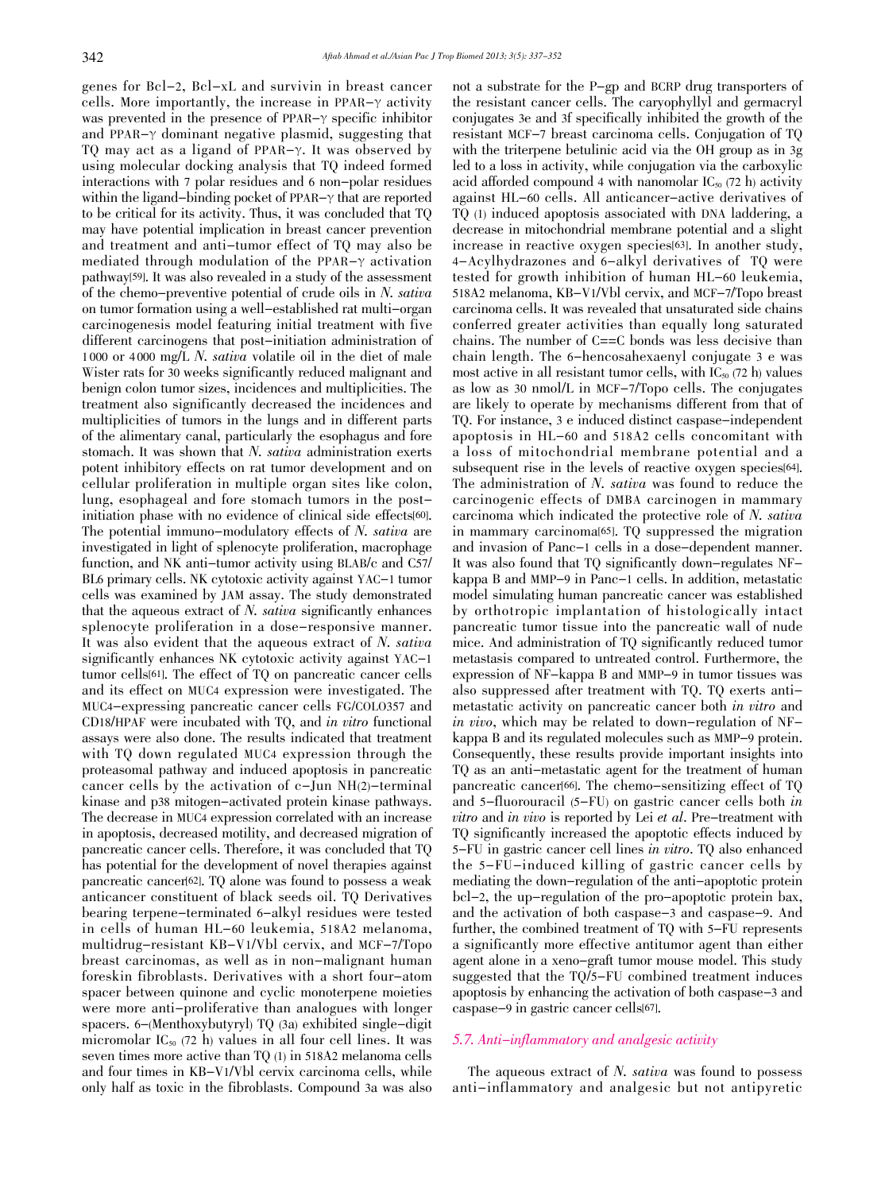genes for Bcl-2, Bcl-xL and survivin in breast cancer cells. More importantly, the increase in PPAR- $\gamma$  activity was prevented in the presence of PPAR-<sup>γ</sup> specific inhibitor and PPAR-<sup>γ</sup> dominant negative plasmid, suggesting that TQ may act as a ligand of PPAR-γ. It was observed by using molecular docking analysis that TQ indeed formed interactions with 7 polar residues and 6 non-polar residues within the ligand-binding pocket of PPAR-<sup>γ</sup> that are reported to be critical for its activity. Thus, it was concluded that TQ may have potential implication in breast cancer prevention and treatment and anti-tumor effect of TQ may also be mediated through modulation of the PPAR-<sup>γ</sup> activation pathway[59]. It was also revealed in a study of the assessment of the chemo-preventive potential of crude oils in N. sativa on tumor formation using a well-established rat multi-organ carcinogenesis model featuring initial treatment with five different carcinogens that post-initiation administration of <sup>1</sup> <sup>000</sup> or <sup>4</sup> <sup>000</sup> mg/L N. sativa volatile oil in the diet of male Wister rats for 30 weeks significantly reduced malignant and benign colon tumor sizes, incidences and multiplicities. The treatment also significantly decreased the incidences and multiplicities of tumors in the lungs and in different parts of the alimentary canal, particularly the esophagus and fore stomach. It was shown that N. sativa administration exerts potent inhibitory effects on rat tumor development and on cellular proliferation in multiple organ sites like colon, lung, esophageal and fore stomach tumors in the postinitiation phase with no evidence of clinical side effects[60]. The potential immuno-modulatory effects of N. sativa are investigated in light of splenocyte proliferation, macrophage function, and NK anti-tumor activity using BLAB/c and C57/ BL6 primary cells. NK cytotoxic activity against YAC-1 tumor cells was examined by JAM assay. The study demonstrated that the aqueous extract of  $N$ . *sativa* significantly enhances splenocyte proliferation in a dose-responsive manner. It was also evident that the aqueous extract of N. sativa significantly enhances NK cytotoxic activity against YAC-1 tumor cells[61]. The effect of TQ on pancreatic cancer cells and its effect on MUC4 expression were investigated. The MUC4-expressing pancreatic cancer cells FG/COLO357 and CD18/HPAF were incubated with TQ, and in vitro functional assays were also done. The results indicated that treatment with TQ down regulated MUC<sub>4</sub> expression through the proteasomal pathway and induced apoptosis in pancreatic cancer cells by the activation of c-Jun NH(2)-terminal kinase and p38 mitogen-activated protein kinase pathways. The decrease in MUC4 expression correlated with an increase in apoptosis, decreased motility, and decreased migration of pancreatic cancer cells. Therefore, it was concluded that TQ has potential for the development of novel therapies against pancreatic cancer[62]. TQ alone was found to possess a weak anticancer constituent of black seeds oil. TQ Derivatives bearing terpene-terminated 6-alkyl residues were tested in cells of human HL-60 leukemia, 518A2 melanoma, multidrug-resistant KB-V1/Vbl cervix, and MCF-7/Topo breast carcinomas, as well as in non-malignant human foreskin fibroblasts. Derivatives with a short four-atom spacer between quinone and cyclic monoterpene moieties were more anti-proliferative than analogues with longer spacers. 6-(Menthoxybutyryl) TQ (3a) exhibited single-digit micromolar  $IC_{50}$  (72 h) values in all four cell lines. It was seven times more active than TQ (1) in 518A2 melanoma cells and four times in KB-V1/Vbl cervix carcinoma cells, while only half as toxic in the fibroblasts. Compound 3a was also

not a substrate for the P-gp and BCRP drug transporters of the resistant cancer cells. The caryophyllyl and germacryl conjugates 3e and 3f specifically inhibited the growth of the resistant MCF-7 breast carcinoma cells. Conjugation of TQ with the triterpene betulinic acid via the OH group as in 3g led to a loss in activity, while conjugation via the carboxylic acid afforded compound 4 with nanomolar  $IC_{50}$  (72 h) activity against HL-60 cells. All anticancer-active derivatives of TQ (1) induced apoptosis associated with DNA laddering, a decrease in mitochondrial membrane potential and a slight increase in reactive oxygen species[63]. In another study, 4-Acylhydrazones and 6-alkyl derivatives of TQ were tested for growth inhibition of human HL-60 leukemia, 518A2 melanoma, KB-V1/Vbl cervix, and MCF-7/Topo breast carcinoma cells. It was revealed that unsaturated side chains conferred greater activities than equally long saturated chains. The number of C==C bonds was less decisive than chain length. The 6-hencosahexaenyl conjugate 3 e was most active in all resistant tumor cells, with  $IC_{50}$  (72 h) values as low as 30 nmol/L in MCF-7/Topo cells. The conjugates are likely to operate by mechanisms different from that of TQ. For instance, 3 e induced distinct caspase-independent apoptosis in HL-60 and 518A2 cells concomitant with a loss of mitochondrial membrane potential and a subsequent rise in the levels of reactive oxygen species [64]. The administration of N. sativa was found to reduce the carcinogenic effects of DMBA carcinogen in mammary carcinoma which indicated the protective role of N. sativa in mammary carcinoma[65]. TQ suppressed the migration and invasion of Panc-1 cells in a dose-dependent manner. It was also found that TQ significantly down-regulates NFkappa B and MMP-9 in Panc-1 cells. In addition, metastatic model simulating human pancreatic cancer was established by orthotropic implantation of histologically intact pancreatic tumor tissue into the pancreatic wall of nude mice. And administration of TQ significantly reduced tumor metastasis compared to untreated control. Furthermore, the expression of NF-kappa B and MMP-9 in tumor tissues was also suppressed after treatment with TQ. TQ exerts antimetastatic activity on pancreatic cancer both in vitro and in vivo, which may be related to down-regulation of NFkappa B and its regulated molecules such as MMP-9 protein. Consequently, these results provide important insights into TQ as an anti-metastatic agent for the treatment of human pancreatic cancer[66]. The chemo-sensitizing effect of TQ and 5-fluorouracil (5-FU) on gastric cancer cells both in *vitro* and *in vivo* is reported by Lei *et al.* Pre-treatment with TQ significantly increased the apoptotic effects induced by 5-FU in gastric cancer cell lines in vitro. TQ also enhanced the 5-FU-induced killing of gastric cancer cells by mediating the down-regulation of the anti-apoptotic protein bcl-2, the up-regulation of the pro-apoptotic protein bax, and the activation of both caspase-3 and caspase-9. And further, the combined treatment of TQ with 5-FU represents a significantly more effective antitumor agent than either agent alone in a xeno-graft tumor mouse model. This study suggested that the TQ/5-FU combined treatment induces apoptosis by enhancing the activation of both caspase-3 and caspase-9 in gastric cancer cells[67].

# 5.7. Anti-inflammatory and analgesic activity

The aqueous extract of N. sativa was found to possess anti-inflammatory and analgesic but not antipyretic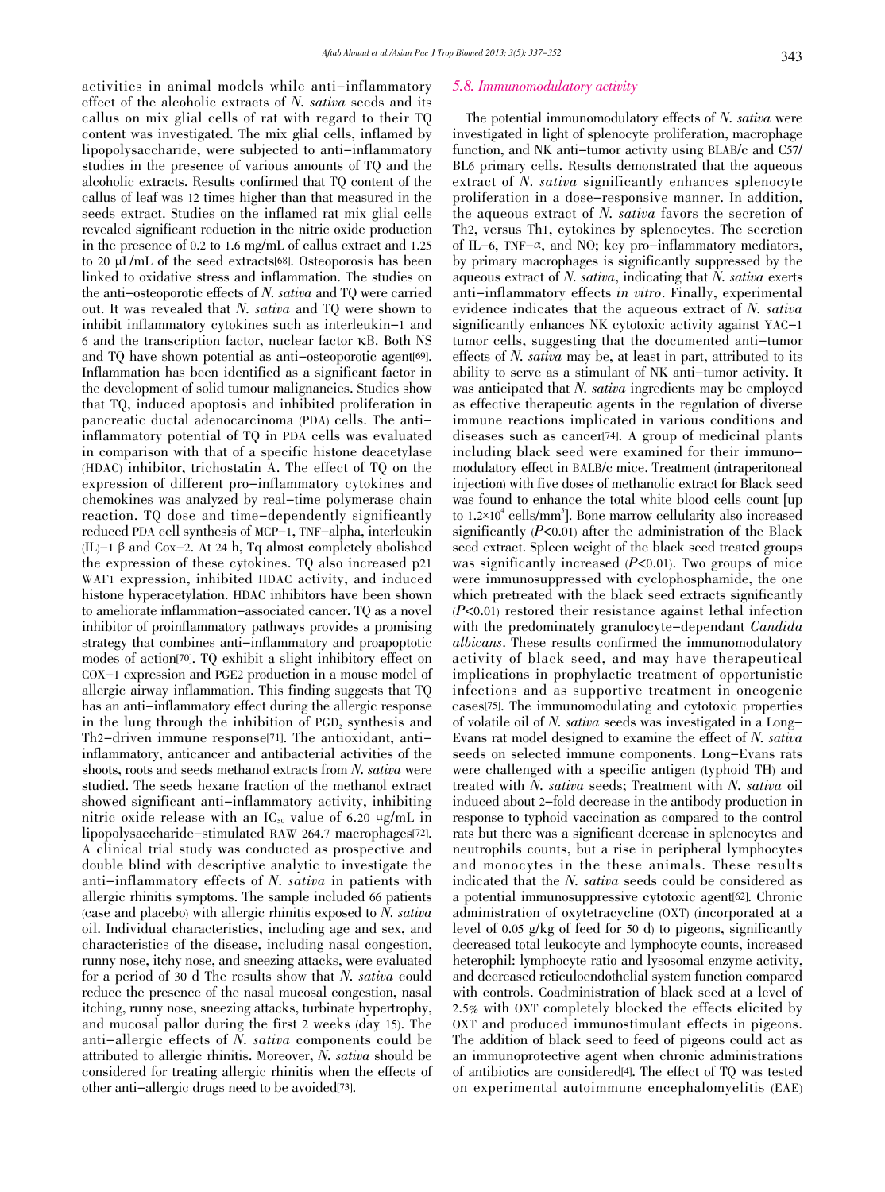activities in animal models while anti-inflammatory effect of the alcoholic extracts of N. sativa seeds and its callus on mix glial cells of rat with regard to their TQ content was investigated. The mix glial cells, inflamed by lipopolysaccharide, were subjected to anti-inflammatory studies in the presence of various amounts of TQ and the alcoholic extracts. Results confirmed that TQ content of the callus of leaf was 12 times higher than that measured in the seeds extract. Studies on the inflamed rat mix glial cells revealed significant reduction in the nitric oxide production in the presence of 0.2 to 1.6 mg/mL of callus extract and 1.25 to 20 µL/mL of the seed extracts[68]. Osteoporosis has been linked to oxidative stress and inflammation. The studies on the anti-osteoporotic effects of N. sativa and TQ were carried out. It was revealed that N. sativa and TQ were shown to inhibit inflammatory cytokines such as interleukin-1 and <sup>6</sup> and the transcription factor, nuclear factor κB. Both NS and TQ have shown potential as anti-osteoporotic agent[69]. Inflammation has been identified as a significant factor in the development of solid tumour malignancies. Studies show that TQ, induced apoptosis and inhibited proliferation in pancreatic ductal adenocarcinoma (PDA) cells. The antiinflammatory potential of TQ in PDA cells was evaluated in comparison with that of a specific histone deacetylase (HDAC) inhibitor, trichostatin A. The effect of TQ on the expression of different pro-inflammatory cytokines and chemokines was analyzed by real-time polymerase chain reaction. TQ dose and time-dependently significantly reduced PDA cell synthesis of MCP-1, TNF-alpha, interleukin (IL)-1  $\beta$  and Cox-2. At 24 h, Tq almost completely abolished the expression of these cytokines. TQ also increased p21 WAF1 expression, inhibited HDAC activity, and induced histone hyperacetylation. HDAC inhibitors have been shown to ameliorate inflammation-associated cancer. TQ as a novel inhibitor of proinflammatory pathways provides a promising strategy that combines anti-inflammatory and proapoptotic modes of action[70]. TQ exhibit a slight inhibitory effect on COX-1 expression and PGE2 production in a mouse model of allergic airway inflammation. This finding suggests that TQ has an anti-inflammatory effect during the allergic response in the lung through the inhibition of PGD, synthesis and Th2-driven immune response[71]. The antioxidant, antiinflammatory, anticancer and antibacterial activities of the shoots, roots and seeds methanol extracts from N. sativa were studied. The seeds hexane fraction of the methanol extract showed significant anti-inflammatory activity, inhibiting nitric oxide release with an  $IC_{50}$  value of 6.20  $\mu$ g/mL in lipopolysaccharide-stimulated RAW 264.7 macrophages[72]. A clinical trial study was conducted as prospective and double blind with descriptive analytic to investigate the anti-inflammatory effects of N. sativa in patients with allergic rhinitis symptoms. The sample included 66 patients (case and placebo) with allergic rhinitis exposed to  $N$ . sativa oil. Individual characteristics, including age and sex, and characteristics of the disease, including nasal congestion, runny nose, itchy nose, and sneezing attacks, were evaluated for a period of <sup>30</sup> d The results show that N. sativa could reduce the presence of the nasal mucosal congestion, nasal itching, runny nose, sneezing attacks, turbinate hypertrophy, and mucosal pallor during the first 2 weeks (day 15). The anti-allergic effects of N. sativa components could be attributed to allergic rhinitis. Moreover, N. sativa should be considered for treating allergic rhinitis when the effects of other anti-allergic drugs need to be avoided[73].

#### 5.8. Immunomodulatory activity

The potential immunomodulatory effects of N. sativa were investigated in light of splenocyte proliferation, macrophage function, and NK anti-tumor activity using BLAB/c and C57/ BL6 primary cells. Results demonstrated that the aqueous extract of N. sativa significantly enhances splenocyte proliferation in a dose-responsive manner. In addition, the aqueous extract of N. sativa favors the secretion of Th2, versus Th1, cytokines by splenocytes. The secretion of IL-6, TNF- $\alpha$ , and NO; key pro-inflammatory mediators, by primary macrophages is significantly suppressed by the aqueous extract of  $N$ . *sativa*, indicating that  $N$ . *sativa* exerts anti-inflammatory effects in vitro. Finally, experimental evidence indicates that the aqueous extract of N. sativa significantly enhances NK cytotoxic activity against YAC-1 tumor cells, suggesting that the documented anti-tumor effects of N. sativa may be, at least in part, attributed to its ability to serve as a stimulant of NK anti-tumor activity. It was anticipated that N. sativa ingredients may be employed as effective therapeutic agents in the regulation of diverse immune reactions implicated in various conditions and diseases such as cancer[74]. A group of medicinal plants including black seed were examined for their immunomodulatory effect in BALB/c mice. Treatment (intraperitoneal injection) with five doses of methanolic extract for Black seed was found to enhance the total white blood cells count [up to 1.2×10<sup>4</sup> cells/mm<sup>3</sup>]. Bone marrow cellularity also increased significantly  $(P<0.01)$  after the administration of the Black seed extract. Spleen weight of the black seed treated groups was significantly increased  $(P<0.01)$ . Two groups of mice were immunosuppressed with cyclophosphamide, the one which pretreated with the black seed extracts significantly  $(P<0.01)$  restored their resistance against lethal infection with the predominately granulocyte-dependant *Candida* albicans. These results confirmed the immunomodulatory activity of black seed, and may have therapeutical implications in prophylactic treatment of opportunistic infections and as supportive treatment in oncogenic cases[75]. The immunomodulating and cytotoxic properties of volatile oil of N. sativa seeds was investigated in a Long-Evans rat model designed to examine the effect of N. sativa seeds on selected immune components. Long-Evans rats were challenged with a specific antigen (typhoid TH) and treated with N. sativa seeds; Treatment with N. sativa oil induced about 2-fold decrease in the antibody production in response to typhoid vaccination as compared to the control rats but there was a significant decrease in splenocytes and neutrophils counts, but a rise in peripheral lymphocytes and monocytes in the these animals. These results indicated that the N. sativa seeds could be considered as a potential immunosuppressive cytotoxic agent[62]. Chronic administration of oxytetracycline (OXT) (incorporated at a level of 0.05 g/kg of feed for 50 d) to pigeons, significantly decreased total leukocyte and lymphocyte counts, increased heterophil: lymphocyte ratio and lysosomal enzyme activity, and decreased reticuloendothelial system function compared with controls. Coadministration of black seed at a level of 2.5% with OXT completely blocked the effects elicited by OXT and produced immunostimulant effects in pigeons. The addition of black seed to feed of pigeons could act as an immunoprotective agent when chronic administrations of antibiotics are considered[4]. The effect of TQ was tested on experimental autoimmune encephalomyelitis (EAE)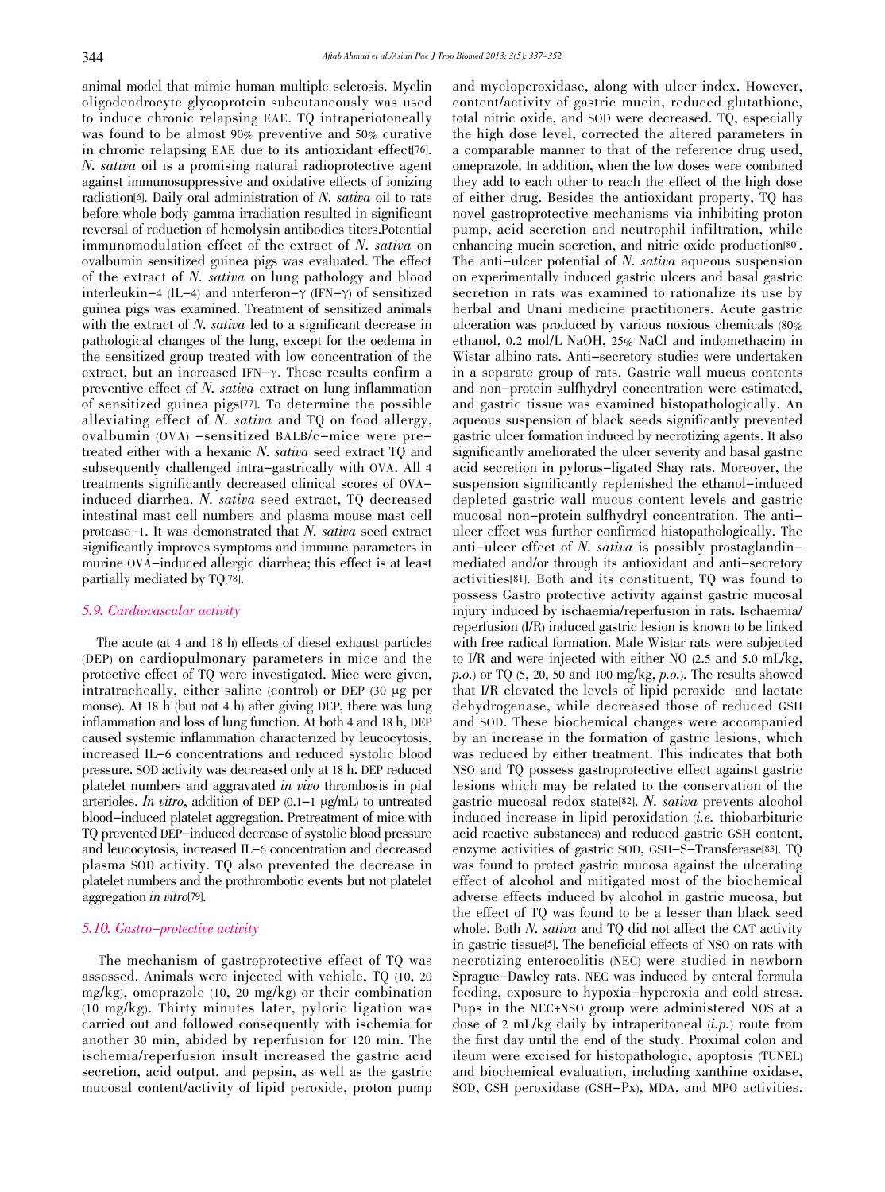animal model that mimic human multiple sclerosis. Myelin oligodendrocyte glycoprotein subcutaneously was used to induce chronic relapsing EAE. TQ intraperiotoneally was found to be almost 90% preventive and 50% curative in chronic relapsing EAE due to its antioxidant effect[76]. N. sativa oil is a promising natural radioprotective agent against immunosuppressive and oxidative effects of ionizing radiation[6]. Daily oral administration of N. sativa oil to rats before whole body gamma irradiation resulted in significant reversal of reduction of hemolysin antibodies titers.Potential immunomodulation effect of the extract of N. sativa on ovalbumin sensitized guinea pigs was evaluated. The effect of the extract of N. sativa on lung pathology and blood interleukin-4 (IL-4) and interferon-<sup>γ</sup> (IFN-γ) of sensitized guinea pigs was examined. Treatment of sensitized animals with the extract of N. *sativa* led to a significant decrease in pathological changes of the lung, except for the oedema in the sensitized group treated with low concentration of the extract, but an increased IFN-γ. These results confirm a preventive effect of N. sativa extract on lung inflammation of sensitized guinea pigs[77]. To determine the possible alleviating effect of N. sativa and TQ on food allergy, ovalbumin (OVA) -sensitized BALB/c-mice were pretreated either with a hexanic N. sativa seed extract TQ and subsequently challenged intra-gastrically with OVA. All 4 treatments significantly decreased clinical scores of OVAinduced diarrhea. N. sativa seed extract, TQ decreased intestinal mast cell numbers and plasma mouse mast cell protease-1. It was demonstrated that N. sativa seed extract significantly improves symptoms and immune parameters in murine OVA-induced allergic diarrhea; this effect is at least partially mediated by TQ[78].

# 5.9. Cardiovascular activity

The acute (at 4 and 18 h) effects of diesel exhaust particles (DEP) on cardiopulmonary parameters in mice and the protective effect of TQ were investigated. Mice were given, intratracheally, either saline (control) or DEP (30 µg per mouse). At 18 h (but not 4 h) after giving DEP, there was lung inflammation and loss of lung function. At both 4 and 18 h, DEP caused systemic inflammation characterized by leucocytosis, increased IL-6 concentrations and reduced systolic blood pressure. SOD activity was decreased only at 18 h. DEP reduced platelet numbers and aggravated in vivo thrombosis in pial arterioles. In vitro, addition of DEP  $(0.1-1 \mu g/mL)$  to untreated blood-induced platelet aggregation. Pretreatment of mice with TQ prevented DEP-induced decrease of systolic blood pressure and leucocytosis, increased IL-6 concentration and decreased plasma SOD activity. TQ also prevented the decrease in platelet numbers and the prothrombotic events but not platelet aggregation in vitro[79].

# 5.10. Gastro-protective activity

The mechanism of gastroprotective effect of TQ was assessed. Animals were injected with vehicle, TQ (10, 20 mg/kg), omeprazole (10, 20 mg/kg) or their combination (10 mg/kg). Thirty minutes later, pyloric ligation was carried out and followed consequently with ischemia for another 30 min, abided by reperfusion for 120 min. The ischemia/reperfusion insult increased the gastric acid secretion, acid output, and pepsin, as well as the gastric mucosal content/activity of lipid peroxide, proton pump

and myeloperoxidase, along with ulcer index. However, content/activity of gastric mucin, reduced glutathione, total nitric oxide, and SOD were decreased. TQ, especially the high dose level, corrected the altered parameters in a comparable manner to that of the reference drug used, omeprazole. In addition, when the low doses were combined they add to each other to reach the effect of the high dose of either drug. Besides the antioxidant property, TQ has novel gastroprotective mechanisms via inhibiting proton pump, acid secretion and neutrophil infiltration, while enhancing mucin secretion, and nitric oxide production[80]. The anti-ulcer potential of N. sativa aqueous suspension on experimentally induced gastric ulcers and basal gastric secretion in rats was examined to rationalize its use by herbal and Unani medicine practitioners. Acute gastric ulceration was produced by various noxious chemicals (80% ethanol, 0.2 mol/L NaOH, 25% NaCl and indomethacin) in Wistar albino rats. Anti-secretory studies were undertaken in a separate group of rats. Gastric wall mucus contents and non-protein sulfhydryl concentration were estimated, and gastric tissue was examined histopathologically. An aqueous suspension of black seeds significantly prevented gastric ulcer formation induced by necrotizing agents. It also significantly ameliorated the ulcer severity and basal gastric acid secretion in pylorus-ligated Shay rats. Moreover, the suspension significantly replenished the ethanol-induced depleted gastric wall mucus content levels and gastric mucosal non-protein sulfhydryl concentration. The antiulcer effect was further confirmed histopathologically. The anti-ulcer effect of N. sativa is possibly prostaglandinmediated and/or through its antioxidant and anti-secretory activities[81]. Both and its constituent, TQ was found to possess Gastro protective activity against gastric mucosal injury induced by ischaemia/reperfusion in rats. Ischaemia/ reperfusion (I/R) induced gastric lesion is known to be linked with free radical formation. Male Wistar rats were subjected to I/R and were injected with either NO (2.5 and 5.0 mL/kg,  $p.o.$ ) or TQ (5, 20, 50 and 100 mg/kg,  $p.o.$ ). The results showed that I/R elevated the levels of lipid peroxide and lactate dehydrogenase, while decreased those of reduced GSH and SOD. These biochemical changes were accompanied by an increase in the formation of gastric lesions, which was reduced by either treatment. This indicates that both NSO and TQ possess gastroprotective effect against gastric lesions which may be related to the conservation of the gastric mucosal redox state[82]. N. sativa prevents alcohol induced increase in lipid peroxidation (i.e. thiobarbituric acid reactive substances) and reduced gastric GSH content, enzyme activities of gastric SOD, GSH-S-Transferase[83]. TQ was found to protect gastric mucosa against the ulcerating effect of alcohol and mitigated most of the biochemical adverse effects induced by alcohol in gastric mucosa, but the effect of TQ was found to be a lesser than black seed whole. Both N. sativa and TQ did not affect the CAT activity in gastric tissue[5]. The beneficial effects of NSO on rats with necrotizing enterocolitis (NEC) were studied in newborn Sprague-Dawley rats. NEC was induced by enteral formula feeding, exposure to hypoxia-hyperoxia and cold stress. Pups in the NEC+NSO group were administered NOS at a dose of 2 mL/kg daily by intraperitoneal  $(i.p.)$  route from the first day until the end of the study. Proximal colon and ileum were excised for histopathologic, apoptosis (TUNEL) and biochemical evaluation, including xanthine oxidase, SOD, GSH peroxidase (GSH-Px), MDA, and MPO activities.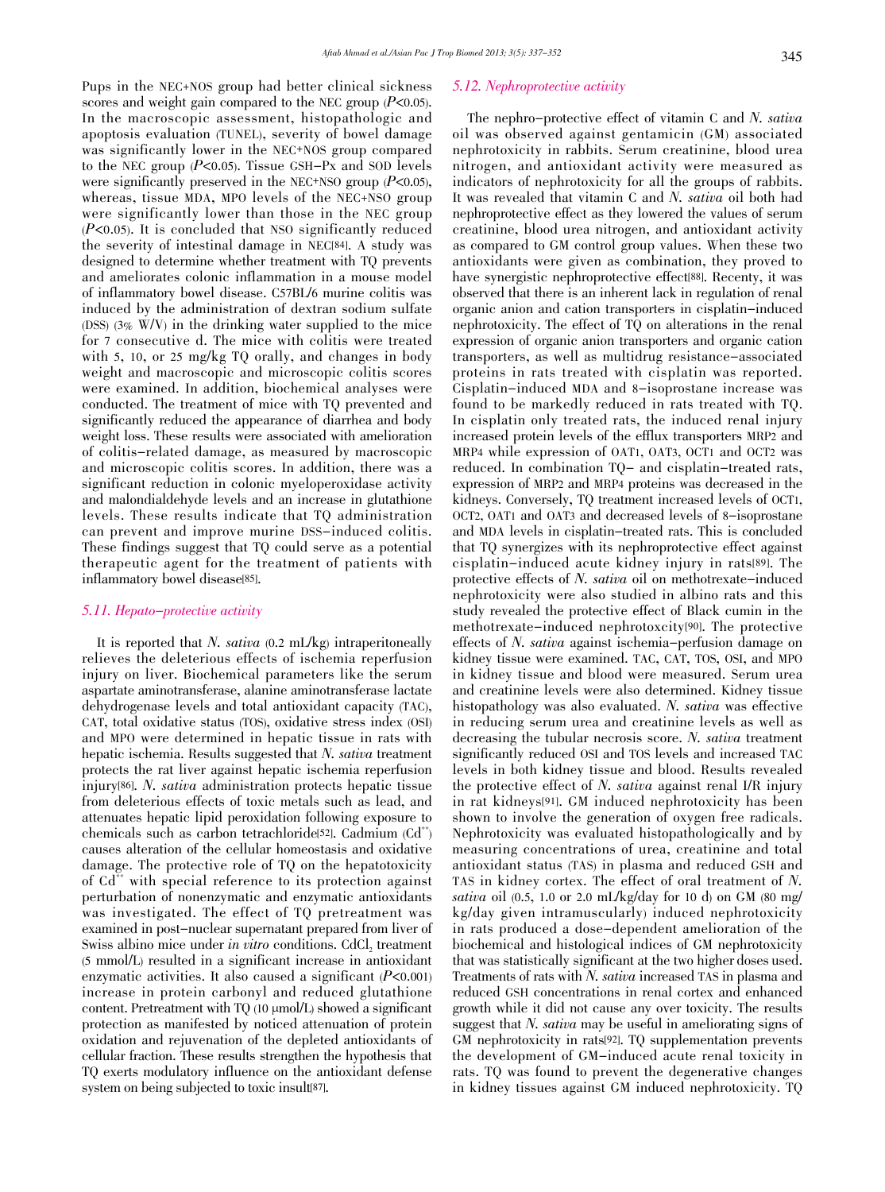Pups in the NEC+NOS group had better clinical sickness scores and weight gain compared to the NEC group  $(P<0.05)$ . In the macroscopic assessment, histopathologic and apoptosis evaluation (TUNEL), severity of bowel damage was significantly lower in the NEC+NOS group compared to the NEC group  $(P<0.05)$ . Tissue GSH-Px and SOD levels were significantly preserved in the NEC+NSO group  $(P<0.05)$ , whereas, tissue MDA, MPO levels of the NEC+NSO group were significantly lower than those in the NEC group  $(P<0.05)$ . It is concluded that NSO significantly reduced the severity of intestinal damage in NEC[84]. A study was designed to determine whether treatment with TQ prevents and ameliorates colonic inflammation in a mouse model of inflammatory bowel disease. C57BL/6 murine colitis was induced by the administration of dextran sodium sulfate (DSS) (3% W/V) in the drinking water supplied to the mice for 7 consecutive d. The mice with colitis were treated with 5, 10, or 25 mg/kg TQ orally, and changes in body weight and macroscopic and microscopic colitis scores were examined. In addition, biochemical analyses were conducted. The treatment of mice with TQ prevented and significantly reduced the appearance of diarrhea and body weight loss. These results were associated with amelioration of colitis-related damage, as measured by macroscopic and microscopic colitis scores. In addition, there was a significant reduction in colonic myeloperoxidase activity and malondialdehyde levels and an increase in glutathione levels. These results indicate that TQ administration can prevent and improve murine DSS-induced colitis. These findings suggest that TQ could serve as a potential therapeutic agent for the treatment of patients with inflammatory bowel disease[85].

# 5.11. Hepato-protective activity

It is reported that N. sativa  $(0.2 \text{ mL/kg})$  intraperitoneally relieves the deleterious effects of ischemia reperfusion injury on liver. Biochemical parameters like the serum aspartate aminotransferase, alanine aminotransferase lactate dehydrogenase levels and total antioxidant capacity (TAC), CAT, total oxidative status (TOS), oxidative stress index (OSI) and MPO were determined in hepatic tissue in rats with hepatic ischemia. Results suggested that N. sativa treatment protects the rat liver against hepatic ischemia reperfusion injury[86]. N. sativa administration protects hepatic tissue from deleterious effects of toxic metals such as lead, and attenuates hepatic lipid peroxidation following exposure to chemicals such as carbon tetrachloride<sup>[52]</sup>. Cadmium (Cd<sup>++</sup>) causes alteration of the cellular homeostasis and oxidative damage. The protective role of TQ on the hepatotoxicity of Cd<sup>++</sup> with special reference to its protection against perturbation of nonenzymatic and enzymatic antioxidants was investigated. The effect of TQ pretreatment was examined in post-nuclear supernatant prepared from liver of Swiss albino mice under in vitro conditions. CdCl<sub>2</sub> treatment (5 mmol/L) resulted in a significant increase in antioxidant enzymatic activities. It also caused a significant  $(P<0.001)$ increase in protein carbonyl and reduced glutathione content. Pretreatment with TQ (10 µmol/L) showed a significant protection as manifested by noticed attenuation of protein oxidation and rejuvenation of the depleted antioxidants of cellular fraction. These results strengthen the hypothesis that TQ exerts modulatory influence on the antioxidant defense system on being subjected to toxic insult<sup>[87]</sup>.

# 5.12. Nephroprotective activity

The nephro-protective effect of vitamin C and N. sativa oil was observed against gentamicin (GM) associated nephrotoxicity in rabbits. Serum creatinine, blood urea nitrogen, and antioxidant activity were measured as indicators of nephrotoxicity for all the groups of rabbits. It was revealed that vitamin C and N. sativa oil both had nephroprotective effect as they lowered the values of serum creatinine, blood urea nitrogen, and antioxidant activity as compared to GM control group values. When these two antioxidants were given as combination, they proved to have synergistic nephroprotective effect<sup>[88]</sup>. Recenty, it was observed that there is an inherent lack in regulation of renal organic anion and cation transporters in cisplatin-induced nephrotoxicity. The effect of TQ on alterations in the renal expression of organic anion transporters and organic cation transporters, as well as multidrug resistance-associated proteins in rats treated with cisplatin was reported. Cisplatin-induced MDA and 8-isoprostane increase was found to be markedly reduced in rats treated with TQ. In cisplatin only treated rats, the induced renal injury increased protein levels of the efflux transporters MRP2 and MRP4 while expression of OAT1, OAT3, OCT1 and OCT2 was reduced. In combination TQ- and cisplatin-treated rats, expression of MRP2 and MRP4 proteins was decreased in the kidneys. Conversely, TQ treatment increased levels of OCT1, OCT2, OAT1 and OAT3 and decreased levels of 8-isoprostane and MDA levels in cisplatin-treated rats. This is concluded that TQ synergizes with its nephroprotective effect against cisplatin-induced acute kidney injury in rats[89]. The protective effects of N. sativa oil on methotrexate-induced nephrotoxicity were also studied in albino rats and this study revealed the protective effect of Black cumin in the methotrexate-induced nephrotoxcity[90]. The protective effects of N. sativa against ischemia-perfusion damage on kidney tissue were examined. TAC, CAT, TOS, OSI, and MPO in kidney tissue and blood were measured. Serum urea and creatinine levels were also determined. Kidney tissue histopathology was also evaluated. N. sativa was effective in reducing serum urea and creatinine levels as well as decreasing the tubular necrosis score. N. sativa treatment significantly reduced OSI and TOS levels and increased TAC levels in both kidney tissue and blood. Results revealed the protective effect of N. sativa against renal I/R injury in rat kidneys[91]. GM induced nephrotoxicity has been shown to involve the generation of oxygen free radicals. Nephrotoxicity was evaluated histopathologically and by measuring concentrations of urea, creatinine and total antioxidant status (TAS) in plasma and reduced GSH and TAS in kidney cortex. The effect of oral treatment of N. sativa oil  $(0.5, 1.0 \text{ or } 2.0 \text{ mL/kg/day}$  for 10 d) on GM  $(80 \text{ mg/s})$ kg/day given intramuscularly) induced nephrotoxicity in rats produced a dose-dependent amelioration of the biochemical and histological indices of GM nephrotoxicity that was statistically significant at the two higher doses used. Treatments of rats with N. sativa increased TAS in plasma and reduced GSH concentrations in renal cortex and enhanced growth while it did not cause any over toxicity. The results suggest that N. sativa may be useful in ameliorating signs of GM nephrotoxicity in rats[92]. TQ supplementation prevents the development of GM-induced acute renal toxicity in rats. TQ was found to prevent the degenerative changes in kidney tissues against GM induced nephrotoxicity. TQ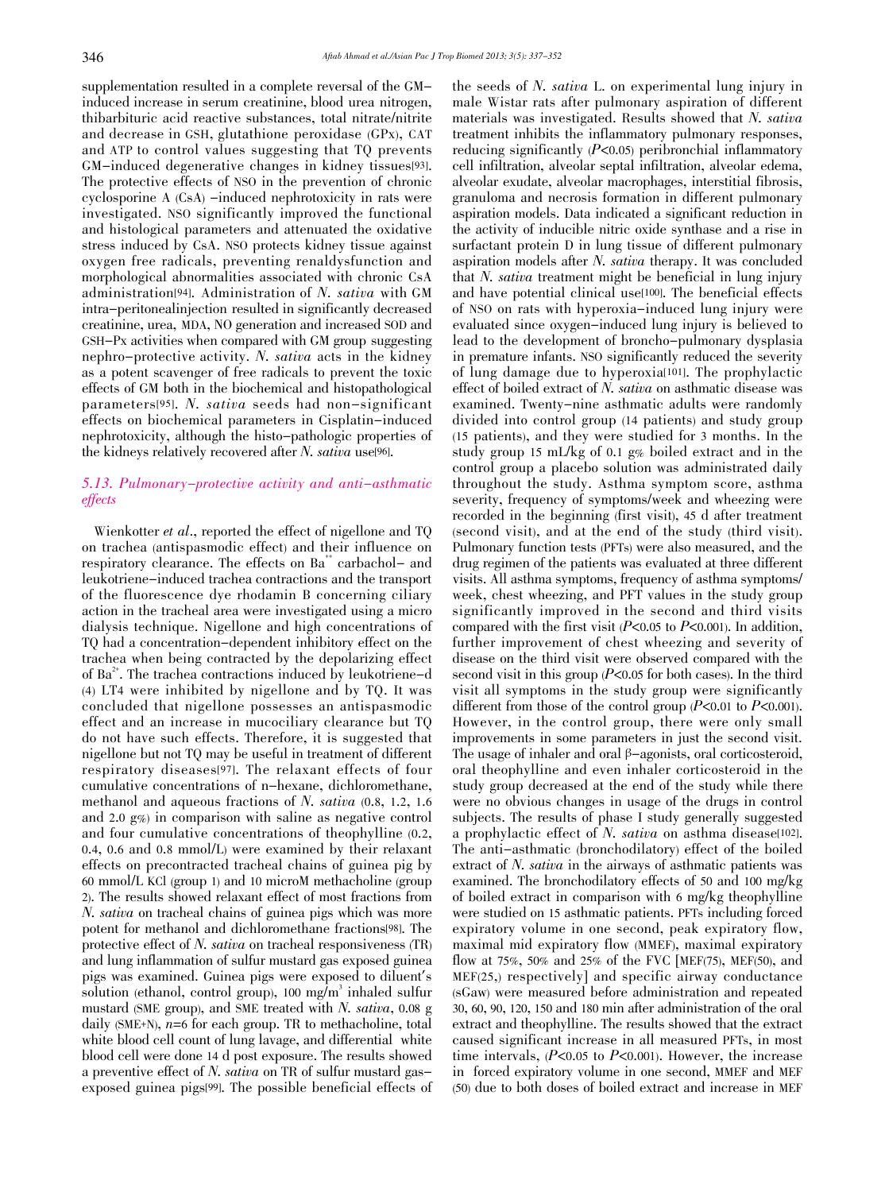supplementation resulted in a complete reversal of the GMinduced increase in serum creatinine, blood urea nitrogen, thibarbituric acid reactive substances, total nitrate/nitrite and decrease in GSH, glutathione peroxidase (GPx), CAT and ATP to control values suggesting that TQ prevents GM-induced degenerative changes in kidney tissues[93]. The protective effects of NSO in the prevention of chronic cyclosporine A (CsA) -induced nephrotoxicity in rats were investigated. NSO significantly improved the functional and histological parameters and attenuated the oxidative stress induced by CsA. NSO protects kidney tissue against oxygen free radicals, preventing renaldysfunction and morphological abnormalities associated with chronic CsA administration[94]. Administration of N. sativa with GM intra-peritonealinjection resulted in significantly decreased creatinine, urea, MDA, NO generation and increased SOD and GSH-Px activities when compared with GM group suggesting nephro-protective activity. N. sativa acts in the kidney as a potent scavenger of free radicals to prevent the toxic effects of GM both in the biochemical and histopathological parameters[95]. N. sativa seeds had non-significant effects on biochemical parameters in Cisplatin-induced nephrotoxicity, although the histo-pathologic properties of the kidneys relatively recovered after N. sativa use<sup>[96]</sup>.

# 5.13. Pulmonary-protective activity and anti-asthmatic effects

Wienkotter et al., reported the effect of nigellone and TQ on trachea (antispasmodic effect) and their influence on respiratory clearance. The effects on Ba<sup>++</sup> carbachol- and leukotriene-induced trachea contractions and the transport of the fluorescence dye rhodamin B concerning ciliary action in the tracheal area were investigated using a micro dialysis technique. Nigellone and high concentrations of TQ had a concentration-dependent inhibitory effect on the trachea when being contracted by the depolarizing effect of Ba 2+ . The trachea contractions induced by leukotriene-d (4) LT4 were inhibited by nigellone and by TQ. It was concluded that nigellone possesses an antispasmodic effect and an increase in mucociliary clearance but TQ do not have such effects. Therefore, it is suggested that nigellone but not TQ may be useful in treatment of different respiratory diseases[97]. The relaxant effects of four cumulative concentrations of n-hexane, dichloromethane, methanol and aqueous fractions of N. sativa (0.8, 1.2, 1.6 and 2.0 g%) in comparison with saline as negative control and four cumulative concentrations of theophylline (0.2, 0.4, 0.6 and 0.8 mmol/L) were examined by their relaxant effects on precontracted tracheal chains of guinea pig by 60 mmol/L KCl (group 1) and 10 microM methacholine (group 2). The results showed relaxant effect of most fractions from N. sativa on tracheal chains of guinea pigs which was more potent for methanol and dichloromethane fractions[98]. The protective effect of N. sativa on tracheal responsiveness (TR) and lung inflammation of sulfur mustard gas exposed guinea pigs was examined. Guinea pigs were exposed to diluent's solution (ethanol, control group), 100 mg/m<sup>3</sup> inhaled sulfur mustard (SME group), and SME treated with  $N$ . sativa, 0.08 g daily (SME+N),  $n=6$  for each group. TR to methacholine, total white blood cell count of lung lavage, and differential white blood cell were done 14 d post exposure. The results showed a preventive effect of N. sativa on TR of sulfur mustard gasexposed guinea pigs[99]. The possible beneficial effects of

the seeds of N. sativa L. on experimental lung injury in male Wistar rats after pulmonary aspiration of different materials was investigated. Results showed that N. sativa treatment inhibits the inflammatory pulmonary responses, reducing significantly  $(P<0.05)$  peribronchial inflammatory cell infiltration, alveolar septal infiltration, alveolar edema, alveolar exudate, alveolar macrophages, interstitial fibrosis, granuloma and necrosis formation in different pulmonary aspiration models. Data indicated a significant reduction in the activity of inducible nitric oxide synthase and a rise in surfactant protein D in lung tissue of different pulmonary aspiration models after N. sativa therapy. It was concluded that N. sativa treatment might be beneficial in lung injury and have potential clinical use[100]. The beneficial effects of NSO on rats with hyperoxia-induced lung injury were evaluated since oxygen-induced lung injury is believed to lead to the development of broncho-pulmonary dysplasia in premature infants. NSO significantly reduced the severity of lung damage due to hyperoxia[101]. The prophylactic effect of boiled extract of N. sativa on asthmatic disease was examined. Twenty-nine asthmatic adults were randomly divided into control group (14 patients) and study group (15 patients), and they were studied for 3 months. In the study group 15 mL/kg of 0.1 g% boiled extract and in the control group a placebo solution was administrated daily throughout the study. Asthma symptom score, asthma severity, frequency of symptoms/week and wheezing were recorded in the beginning (first visit), 45 d after treatment (second visit), and at the end of the study (third visit). Pulmonary function tests (PFTs) were also measured, and the drug regimen of the patients was evaluated at three different visits. All asthma symptoms, frequency of asthma symptoms/ week, chest wheezing, and PFT values in the study group significantly improved in the second and third visits compared with the first visit  $(P<0.05$  to  $P<0.001$ ). In addition, further improvement of chest wheezing and severity of disease on the third visit were observed compared with the second visit in this group  $(P<0.05$  for both cases). In the third visit all symptoms in the study group were significantly different from those of the control group  $(P<0.01$  to  $P<0.001$ . However, in the control group, there were only small improvements in some parameters in just the second visit. The usage of inhaler and oral β-agonists, oral corticosteroid, oral theophylline and even inhaler corticosteroid in the study group decreased at the end of the study while there were no obvious changes in usage of the drugs in control subjects. The results of phase I study generally suggested a prophylactic effect of N. sativa on asthma disease[102]. The anti-asthmatic (bronchodilatory) effect of the boiled extract of N. sativa in the airways of asthmatic patients was examined. The bronchodilatory effects of 50 and 100 mg/kg of boiled extract in comparison with 6 mg/kg theophylline were studied on 15 asthmatic patients. PFTs including forced expiratory volume in one second, peak expiratory flow, maximal mid expiratory flow (MMEF), maximal expiratory flow at 75%, 50% and 25% of the FVC [MEF(75), MEF(50), and MEF(25,) respectively] and specific airway conductance (sGaw) were measured before administration and repeated 30, 60, 90, 120, 150 and 180 min after administration of the oral extract and theophylline. The results showed that the extract caused significant increase in all measured PFTs, in most time intervals,  $(P<0.05$  to  $P<0.001$ ). However, the increase in forced expiratory volume in one second, MMEF and MEF (50) due to both doses of boiled extract and increase in MEF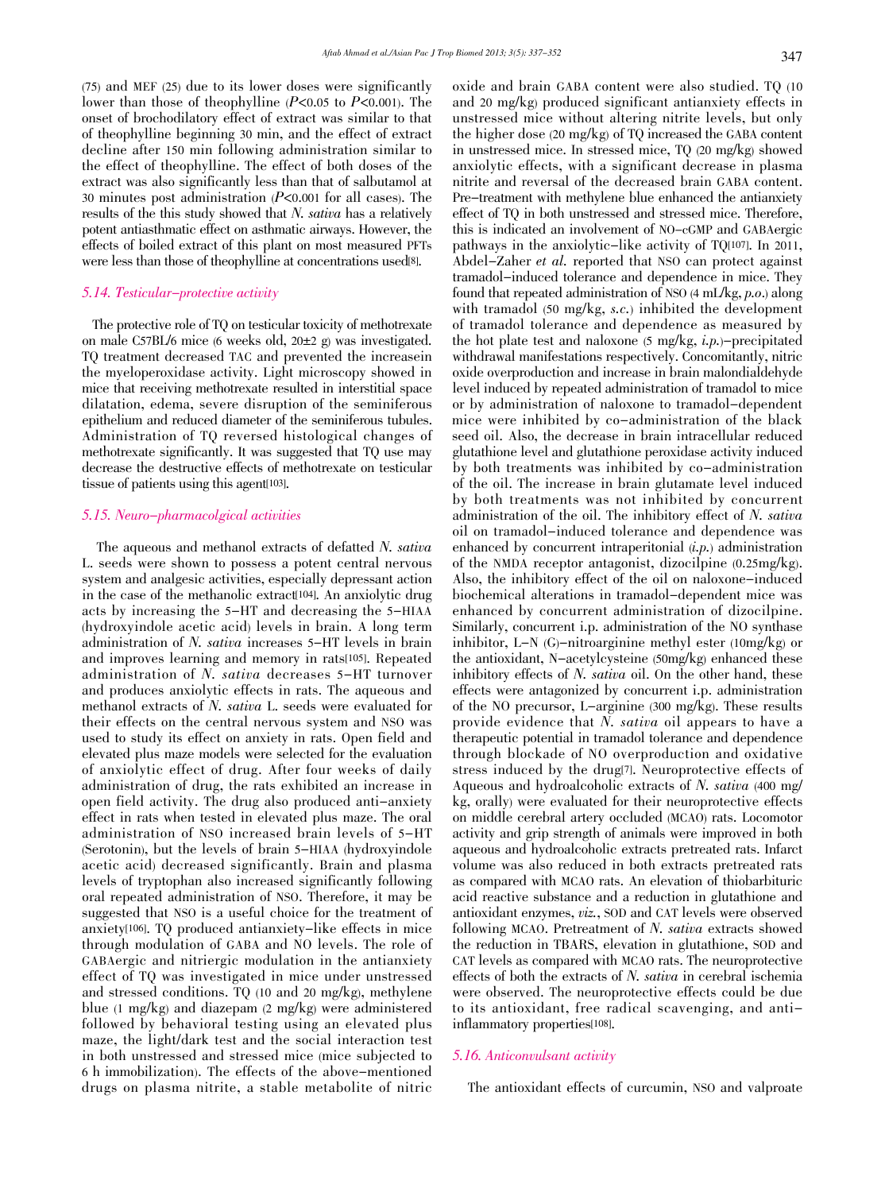(75) and MEF (25) due to its lower doses were significantly lower than those of the ophylline  $(P<0.05$  to  $P<0.001$ ). The onset of brochodilatory effect of extract was similar to that of theophylline beginning 30 min, and the effect of extract decline after 150 min following administration similar to the effect of theophylline. The effect of both doses of the extract was also significantly less than that of salbutamol at 30 minutes post administration  $(P<0.001$  for all cases). The results of the this study showed that N. sativa has a relatively potent antiasthmatic effect on asthmatic airways. However, the effects of boiled extract of this plant on most measured PFTs were less than those of theophylline at concentrations used[8].

# 5.14. Testicular-protective activity

The protective role of TQ on testicular toxicity of methotrexate on male C57BL/6 mice (6 weeks old,  $20\pm 2$  g) was investigated. TQ treatment decreased TAC and prevented the increasein the myeloperoxidase activity. Light microscopy showed in mice that receiving methotrexate resulted in interstitial space dilatation, edema, severe disruption of the seminiferous epithelium and reduced diameter of the seminiferous tubules. Administration of TQ reversed histological changes of methotrexate significantly. It was suggested that TQ use may decrease the destructive effects of methotrexate on testicular tissue of patients using this agent[103].

# 5.15. Neuro-pharmacolgical activities

The aqueous and methanol extracts of defatted N. sativa L. seeds were shown to possess a potent central nervous system and analgesic activities, especially depressant action in the case of the methanolic extract<sup>[104]</sup>. An anxiolytic drug acts by increasing the 5-HT and decreasing the 5-HIAA (hydroxyindole acetic acid) levels in brain. A long term administration of N. sativa increases 5-HT levels in brain and improves learning and memory in rats[105]. Repeated administration of N. sativa decreases 5-HT turnover and produces anxiolytic effects in rats. The aqueous and methanol extracts of N. sativa L. seeds were evaluated for their effects on the central nervous system and NSO was used to study its effect on anxiety in rats. Open field and elevated plus maze models were selected for the evaluation of anxiolytic effect of drug. After four weeks of daily administration of drug, the rats exhibited an increase in open field activity. The drug also produced anti-anxiety effect in rats when tested in elevated plus maze. The oral administration of NSO increased brain levels of 5-HT (Serotonin), but the levels of brain 5-HIAA (hydroxyindole acetic acid) decreased significantly. Brain and plasma levels of tryptophan also increased significantly following oral repeated administration of NSO. Therefore, it may be suggested that NSO is a useful choice for the treatment of anxiety<sup>[106]</sup>. TQ produced antianxiety-like effects in mice through modulation of GABA and NO levels. The role of GABAergic and nitriergic modulation in the antianxiety effect of TQ was investigated in mice under unstressed and stressed conditions. TQ (10 and 20 mg/kg), methylene blue (1 mg/kg) and diazepam (2 mg/kg) were administered followed by behavioral testing using an elevated plus maze, the light/dark test and the social interaction test in both unstressed and stressed mice (mice subjected to 6 h immobilization). The effects of the above-mentioned drugs on plasma nitrite, a stable metabolite of nitric

oxide and brain GABA content were also studied. TQ (10 and 20 mg/kg) produced significant antianxiety effects in unstressed mice without altering nitrite levels, but only the higher dose (20 mg/kg) of TQ increased the GABA content in unstressed mice. In stressed mice, TQ (20 mg/kg) showed anxiolytic effects, with a significant decrease in plasma nitrite and reversal of the decreased brain GABA content. Pre-treatment with methylene blue enhanced the antianxiety effect of TQ in both unstressed and stressed mice. Therefore, this is indicated an involvement of NO-cGMP and GABAergic pathways in the anxiolytic-like activity of TQ[107]. In 2011, Abdel-Zaher et al. reported that NSO can protect against tramadol-induced tolerance and dependence in mice. They found that repeated administration of NSO (4 mL/kg, p.o.) along with tramadol (50 mg/kg, s.c.) inhibited the development of tramadol tolerance and dependence as measured by the hot plate test and naloxone (5 mg/kg, i.p.)-precipitated withdrawal manifestations respectively. Concomitantly, nitric oxide overproduction and increase in brain malondialdehyde level induced by repeated administration of tramadol to mice or by administration of naloxone to tramadol-dependent mice were inhibited by co-administration of the black seed oil. Also, the decrease in brain intracellular reduced glutathione level and glutathione peroxidase activity induced by both treatments was inhibited by co-administration of the oil. The increase in brain glutamate level induced by both treatments was not inhibited by concurrent administration of the oil. The inhibitory effect of N. sativa oil on tramadol-induced tolerance and dependence was enhanced by concurrent intraperitonial  $(i.p.)$  administration of the NMDA receptor antagonist, dizocilpine (0.25mg/kg). Also, the inhibitory effect of the oil on naloxone-induced biochemical alterations in tramadol-dependent mice was enhanced by concurrent administration of dizocilpine. Similarly, concurrent i.p. administration of the NO synthase inhibitor, L-N (G)-nitroarginine methyl ester (10mg/kg) or the antioxidant, N-acetylcysteine (50mg/kg) enhanced these inhibitory effects of N. sativa oil. On the other hand, these effects were antagonized by concurrent i.p. administration of the NO precursor, L-arginine (300 mg/kg). These results provide evidence that N. sativa oil appears to have a therapeutic potential in tramadol tolerance and dependence through blockade of NO overproduction and oxidative stress induced by the drug[7]. Neuroprotective effects of Aqueous and hydroalcoholic extracts of N. sativa (400 mg/ kg, orally) were evaluated for their neuroprotective effects on middle cerebral artery occluded (MCAO) rats. Locomotor activity and grip strength of animals were improved in both aqueous and hydroalcoholic extracts pretreated rats. Infarct volume was also reduced in both extracts pretreated rats as compared with MCAO rats. An elevation of thiobarbituric acid reactive substance and a reduction in glutathione and antioxidant enzymes, viz., SOD and CAT levels were observed following MCAO. Pretreatment of N. sativa extracts showed the reduction in TBARS, elevation in glutathione, SOD and CAT levels as compared with MCAO rats. The neuroprotective effects of both the extracts of N. sativa in cerebral ischemia were observed. The neuroprotective effects could be due to its antioxidant, free radical scavenging, and antiinflammatory properties[108].

# 5.16. Anticonvulsant activity

The antioxidant effects of curcumin, NSO and valproate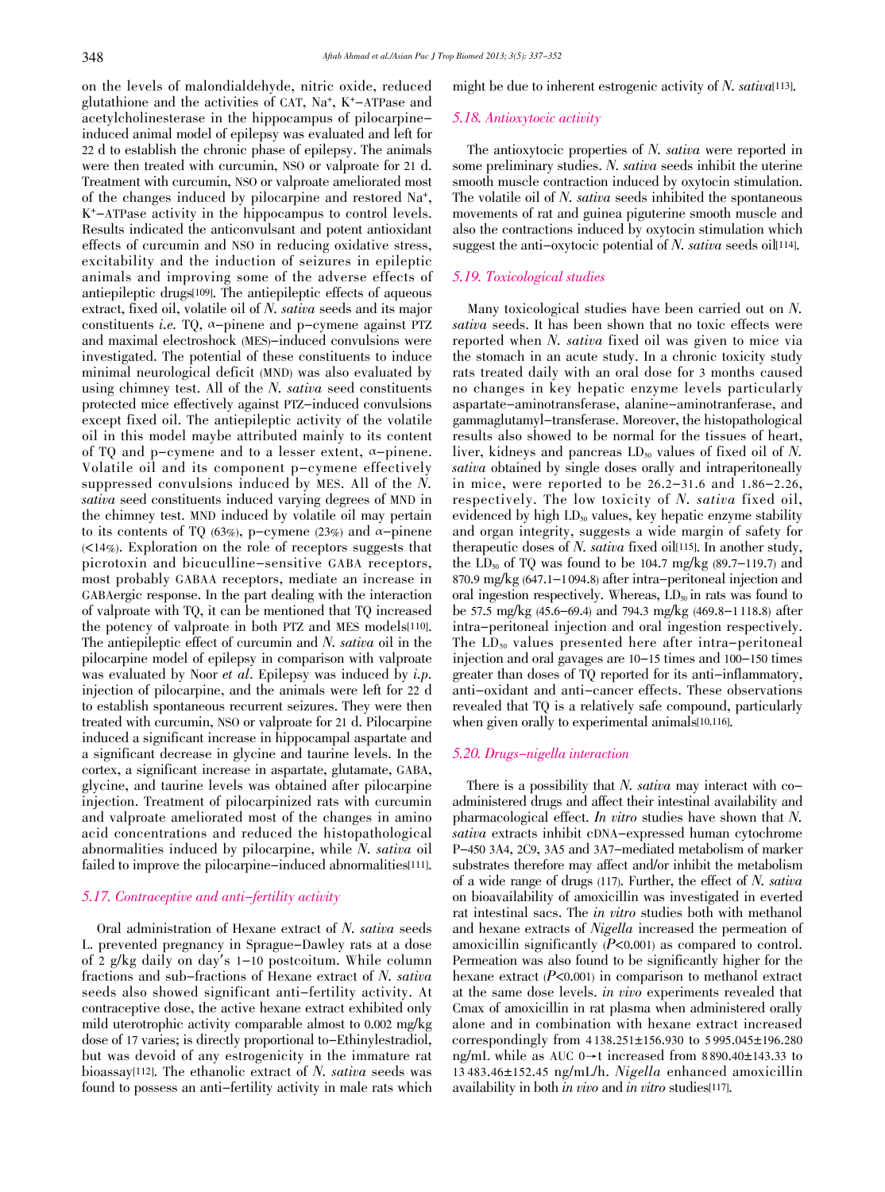on the levels of malondialdehyde, nitric oxide, reduced glutathione and the activities of CAT,  $Na<sup>+</sup>, K<sup>+</sup>-ATPase$  and acetylcholinesterase in the hippocampus of pilocarpineinduced animal model of epilepsy was evaluated and left for 22 d to establish the chronic phase of epilepsy. The animals were then treated with curcumin, NSO or valproate for 21 d. Treatment with curcumin, NSO or valproate ameliorated most of the changes induced by pilocarpine and restored Na<sup>+</sup>,  $K^*$ -ATPase activity in the hippocampus to control levels. Results indicated the anticonvulsant and potent antioxidant effects of curcumin and NSO in reducing oxidative stress, excitability and the induction of seizures in epileptic animals and improving some of the adverse effects of antiepileptic drugs[109]. The antiepileptic effects of aqueous extract, fixed oil, volatile oil of N. sativa seeds and its major constituents *i.e.* TQ,  $\alpha$ -pinene and p-cymene against PTZ and maximal electroshock (MES)-induced convulsions were investigated. The potential of these constituents to induce minimal neurological deficit (MND) was also evaluated by using chimney test. All of the N. sativa seed constituents protected mice effectively against PTZ-induced convulsions except fixed oil. The antiepileptic activity of the volatile oil in this model maybe attributed mainly to its content of TQ and p-cymene and to a lesser extent,  $\alpha$ -pinene. Volatile oil and its component p-cymene effectively suppressed convulsions induced by MES. All of the N. sativa seed constituents induced varying degrees of MND in the chimney test. MND induced by volatile oil may pertain to its contents of TQ (63%), p-cymene (23%) and  $\alpha$ -pinene (<14%). Exploration on the role of receptors suggests that picrotoxin and bicuculline-sensitive GABA receptors, most probably GABAA receptors, mediate an increase in GABAergic response. In the part dealing with the interaction of valproate with TQ, it can be mentioned that TQ increased the potency of valproate in both PTZ and MES models[110]. The antiepileptic effect of curcumin and N. sativa oil in the pilocarpine model of epilepsy in comparison with valproate was evaluated by Noor *et al.* Epilepsy was induced by *i.p.* injection of pilocarpine, and the animals were left for 22 d to establish spontaneous recurrent seizures. They were then treated with curcumin, NSO or valproate for 21 d. Pilocarpine induced a significant increase in hippocampal aspartate and a significant decrease in glycine and taurine levels. In the cortex, a significant increase in aspartate, glutamate, GABA, glycine, and taurine levels was obtained after pilocarpine injection. Treatment of pilocarpinized rats with curcumin and valproate ameliorated most of the changes in amino acid concentrations and reduced the histopathological abnormalities induced by pilocarpine, while N. sativa oil failed to improve the pilocarpine-induced abnormalities<sup>[111]</sup>.

# 5.17. Contraceptive and anti-fertility activity

Oral administration of Hexane extract of N. sativa seeds L. prevented pregnancy in Sprague-Dawley rats at a dose of <sup>2</sup> g/kg daily on day's 1-10 postcoitum. While column fractions and sub-fractions of Hexane extract of N. sativa seeds also showed significant anti-fertility activity. At contraceptive dose, the active hexane extract exhibited only mild uterotrophic activity comparable almost to 0.002 mg/kg dose of 17 varies; is directly proportional to-Ethinylestradiol, but was devoid of any estrogenicity in the immature rat bioassay[112]. The ethanolic extract of N. sativa seeds was found to possess an anti-fertility activity in male rats which might be due to inherent estrogenic activity of  $N$ . sativa<sup>[113]</sup>.

#### 5.18. Antioxytocic activity

The antioxytocic properties of N. sativa were reported in some preliminary studies. N. sativa seeds inhibit the uterine smooth muscle contraction induced by oxytocin stimulation. The volatile oil of N. sativa seeds inhibited the spontaneous movements of rat and guinea piguterine smooth muscle and also the contractions induced by oxytocin stimulation which suggest the anti-oxytocic potential of  $N$ . *sativa* seeds oil<sup>[114]</sup>.

# 5.19. Toxicological studies

Many toxicological studies have been carried out on N. sativa seeds. It has been shown that no toxic effects were reported when N. sativa fixed oil was given to mice via the stomach in an acute study. In a chronic toxicity study rats treated daily with an oral dose for 3 months caused no changes in key hepatic enzyme levels particularly aspartate-aminotransferase, alanine-aminotranferase, and gammaglutamyl-transferase. Moreover, the histopathological results also showed to be normal for the tissues of heart, liver, kidneys and pancreas  $LD_{50}$  values of fixed oil of N. sativa obtained by single doses orally and intraperitoneally in mice, were reported to be 26.2-31.6 and 1.86-2.26, respectively. The low toxicity of N. sativa fixed oil, evidenced by high  $LD_{50}$  values, key hepatic enzyme stability and organ integrity, suggests a wide margin of safety for therapeutic doses of  $N$ . sativa fixed oil[115]. In another study, the LD<sub>50</sub> of TQ was found to be 104.7 mg/kg  $(89.7-119.7)$  and 870.9 mg/kg (647.1-1 094.8) after intra-peritoneal injection and oral ingestion respectively. Whereas,  $LD_{50}$  in rats was found to be 57.5 mg/kg (45.6-69.4) and 794.3 mg/kg (469.8-1 118.8) after intra-peritoneal injection and oral ingestion respectively. The  $LD_{50}$  values presented here after intra-peritoneal injection and oral gavages are 10-15 times and 100-150 times greater than doses of TQ reported for its anti-inflammatory, anti-oxidant and anti-cancer effects. These observations revealed that TQ is a relatively safe compound, particularly when given orally to experimental animals<sup>[10,116]</sup>.

# 5.20. Drugs-nigella interaction

There is a possibility that  $N$ . sativa may interact with coadministered drugs and affect their intestinal availability and pharmacological effect. In vitro studies have shown that N. sativa extracts inhibit cDNA-expressed human cytochrome P-450 3A4, 2C9, 3A5 and 3A7-mediated metabolism of marker substrates therefore may affect and/or inhibit the metabolism of a wide range of drugs (117). Further, the effect of N. sativa on bioavailability of amoxicillin was investigated in everted rat intestinal sacs. The in vitro studies both with methanol and hexane extracts of Nigella increased the permeation of amoxicillin significantly  $(P<0.001)$  as compared to control. Permeation was also found to be significantly higher for the hexane extract  $(P<0.001)$  in comparison to methanol extract at the same dose levels. in vivo experiments revealed that Cmax of amoxicillin in rat plasma when administered orally alone and in combination with hexane extract increased correspondingly from  $4138.251 \pm 156.930$  to  $5995.045 \pm 196.280$ ng/mL while as AUC  $0 \rightarrow t$  increased from 8890.40 $\pm$ 143.33 to  $13483.46 \pm 152.45$  ng/mL/h. Nigella enhanced amoxicillin availability in both in vivo and in vitro studies[117].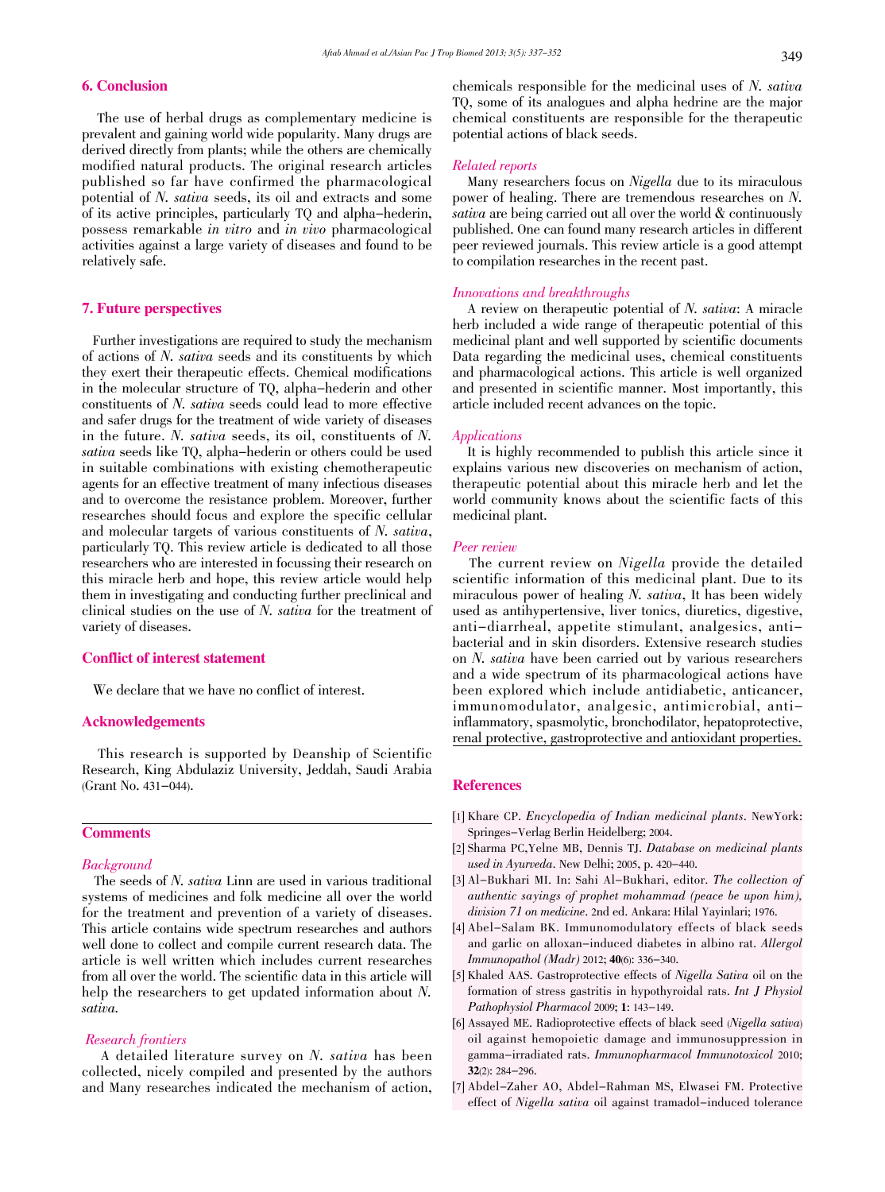# 6. Conclusion

The use of herbal drugs as complementary medicine is prevalent and gaining world wide popularity. Many drugs are derived directly from plants; while the others are chemically modified natural products. The original research articles published so far have confirmed the pharmacological potential of N. sativa seeds, its oil and extracts and some of its active principles, particularly TQ and alpha-hederin, possess remarkable in vitro and in vivo pharmacological activities against a large variety of diseases and found to be relatively safe.

# 7. Future perspectives

Further investigations are required to study the mechanism of actions of N. sativa seeds and its constituents by which they exert their therapeutic effects. Chemical modifications in the molecular structure of TQ, alpha-hederin and other constituents of N. sativa seeds could lead to more effective and safer drugs for the treatment of wide variety of diseases in the future. N. sativa seeds, its oil, constituents of N. sativa seeds like TQ, alpha-hederin or others could be used in suitable combinations with existing chemotherapeutic agents for an effective treatment of many infectious diseases and to overcome the resistance problem. Moreover, further researches should focus and explore the specific cellular and molecular targets of various constituents of N. sativa, particularly TQ. This review article is dedicated to all those researchers who are interested in focussing their research on this miracle herb and hope, this review article would help them in investigating and conducting further preclinical and clinical studies on the use of N. sativa for the treatment of variety of diseases.

#### Conflict of interest statement

We declare that we have no conflict of interest.

# Acknowledgements

This research is supported by Deanship of Scientific Research, King Abdulaziz University, Jeddah, Saudi Arabia (Grant No. 431-044).

# **Comments**

#### **Background**

The seeds of N. sativa Linn are used in various traditional systems of medicines and folk medicine all over the world for the treatment and prevention of a variety of diseases. This article contains wide spectrum researches and authors well done to collect and compile current research data. The article is well written which includes current researches from all over the world. The scientific data in this article will help the researchers to get updated information about N. sativa.

# Research frontiers

A detailed literature survey on N. sativa has been collected, nicely compiled and presented by the authors and Many researches indicated the mechanism of action,

chemicals responsible for the medicinal uses of N. sativa TQ, some of its analogues and alpha hedrine are the major chemical constituents are responsible for the therapeutic potential actions of black seeds.

# Related reports

Many researchers focus on Nigella due to its miraculous power of healing. There are tremendous researches on N. sativa are being carried out all over the world & continuously published. One can found many research articles in different peer reviewed journals. This review article is a good attempt to compilation researches in the recent past.

# Innovations and breakthroughs

A review on therapeutic potential of N. sativa: A miracle herb included a wide range of therapeutic potential of this medicinal plant and well supported by scientific documents Data regarding the medicinal uses, chemical constituents and pharmacological actions. This article is well organized and presented in scientific manner. Most importantly, this article included recent advances on the topic.

# Applications

It is highly recommended to publish this article since it explains various new discoveries on mechanism of action, therapeutic potential about this miracle herb and let the world community knows about the scientific facts of this medicinal plant.

#### Peer review

The current review on *Nigella* provide the detailed scientific information of this medicinal plant. Due to its miraculous power of healing N. sativa, It has been widely used as antihypertensive, liver tonics, diuretics, digestive, anti-diarrheal, appetite stimulant, analgesics, antibacterial and in skin disorders. Extensive research studies on N. sativa have been carried out by various researchers and a wide spectrum of its pharmacological actions have been explored which include antidiabetic, anticancer, immunomodulator, analgesic, antimicrobial, antiinflammatory, spasmolytic, bronchodilator, hepatoprotective, renal protective, gastroprotective and antioxidant properties.

#### **References**

- [1] Khare CP. Encyclopedia of Indian medicinal plants. NewYork: Springes-Verlag Berlin Heidelberg; 2004.
- [2] Sharma PC,Yelne MB, Dennis TJ. Database on medicinal plants used in Ayurveda. New Delhi; 2005, p. 420-440.
- [3] Al-Bukhari MI. In: Sahi Al-Bukhari, editor. The collection of authentic sayings of prophet mohammad (peace be upon him), division 71 on medicine. 2nd ed. Ankara: Hilal Yayinlari; 1976.
- [4] Abel-Salam BK. Immunomodulatory effects of black seeds and garlic on alloxan-induced diabetes in albino rat. Allergol Immunopathol (Madr) 2012; 40(6): 336-340.
- [5] Khaled AAS. Gastroprotective effects of Nigella Sativa oil on the formation of stress gastritis in hypothyroidal rats. Int J Physiol Pathophysiol Pharmacol 2009; 1: 143-149.
- [6] Assayed ME. Radioprotective effects of black seed (Nigella sativa) oil against hemopoietic damage and immunosuppression in gamma-irradiated rats. Immunopharmacol Immunotoxicol 2010; 32(2): 284-296.
- [7] Abdel-Zaher AO, Abdel-Rahman MS, Elwasei FM. Protective effect of Nigella sativa oil against tramadol-induced tolerance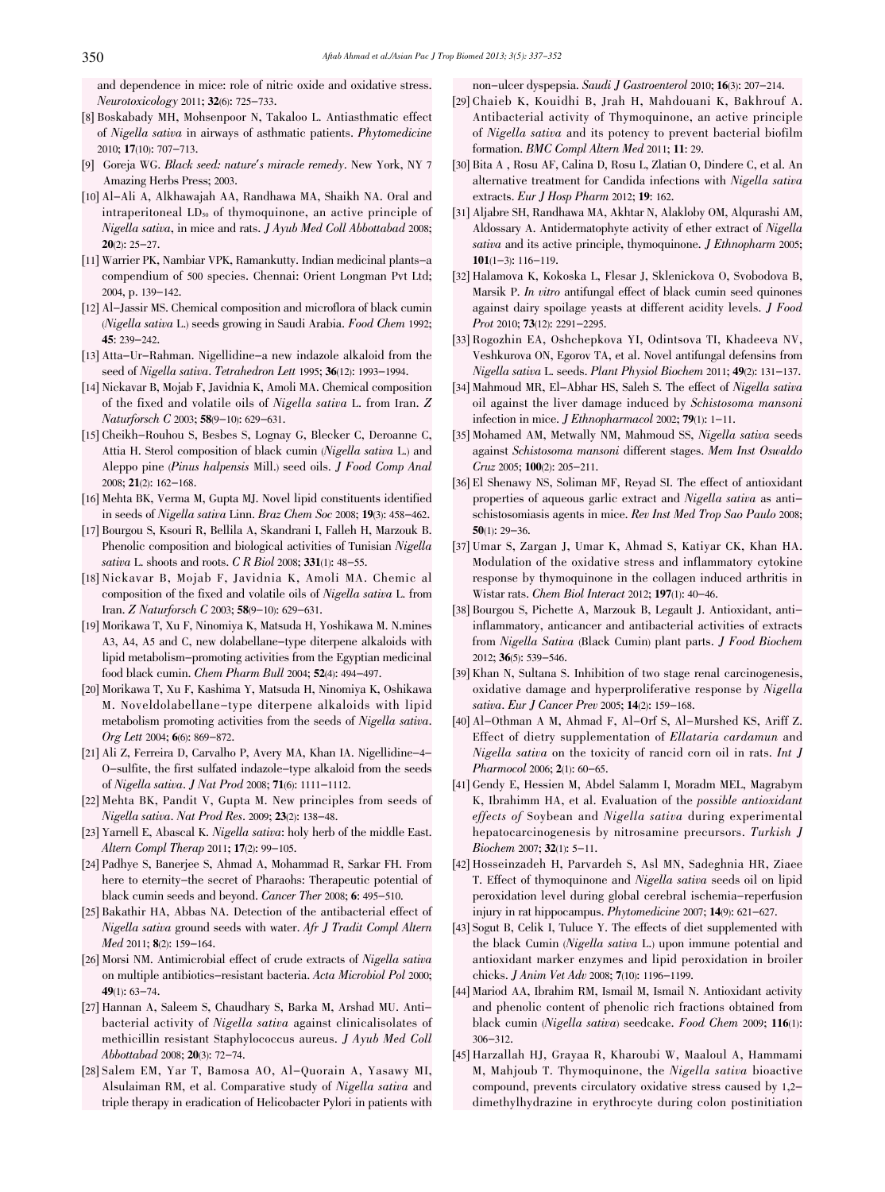and dependence in mice: role of nitric oxide and oxidative stress. Neurotoxicology 2011; 32(6): 725-733.

- [8] Boskabady MH, Mohsenpoor N, Takaloo L. Antiasthmatic effect of Nigella sativa in airways of asthmatic patients. Phytomedicine 2010; 17(10): 707-713.
- [9] Goreja WG. Black seed: nature's miracle remedy. New York, NY <sup>7</sup> Amazing Herbs Press; 2003.
- [10] Al-Ali A, Alkhawajah AA, Randhawa MA, Shaikh NA. Oral and intraperitoneal LD<sub>50</sub> of thymoquinone, an active principle of Nigella sativa, in mice and rats. J Ayub Med Coll Abbottabad 2008;  $20(2): 25-27.$
- [11] Warrier PK, Nambiar VPK, Ramankutty. Indian medicinal plants-a compendium of 500 species. Chennai: Orient Longman Pvt Ltd; 2004, p. 139-142.
- [12] Al-Jassir MS. Chemical composition and microflora of black cumin (Nigella sativa L.) seeds growing in Saudi Arabia. Food Chem 1992; 45: 239-242.
- [13] Atta-Ur-Rahman. Nigellidine-a new indazole alkaloid from the seed of Nigella sativa. Tetrahedron Lett 1995; 36(12): 1993-1994.
- [14] Nickavar B, Mojab F, Javidnia K, Amoli MA. Chemical composition of the fixed and volatile oils of Nigella sativa L. from Iran. Z Naturforsch C 2003; 58(9-10): 629-631.
- [15] Cheikh-Rouhou S, Besbes S, Lognay G, Blecker C, Deroanne C, Attia H. Sterol composition of black cumin (Nigella sativa L.) and Aleppo pine (Pinus halpensis Mill.) seed oils. J Food Comp Anal 2008; 21(2): 162-168.
- [16] Mehta BK, Verma M, Gupta MJ. Novel lipid constituents identified in seeds of Nigella sativa Linn. Braz Chem Soc 2008; 19(3): 458-462.
- [17] Bourgou S, Ksouri R, Bellila A, Skandrani I, Falleh H, Marzouk B. Phenolic composition and biological activities of Tunisian Nigella sativa L. shoots and roots. C R Biol 2008; 331(1): 48-55.
- [18] Nickavar B, Mojab F, Javidnia K, Amoli MA. Chemic al composition of the fixed and volatile oils of Nigella sativa L. from Iran. Z Naturforsch C 2003; 58(9-10): 629-631.
- [19] Morikawa T, Xu F, Ninomiya K, Matsuda H, Yoshikawa M. N.mines A3, A4, A5 and C, new dolabellane-type diterpene alkaloids with lipid metabolism-promoting activities from the Egyptian medicinal food black cumin. Chem Pharm Bull 2004; 52(4): 494-497.
- [20] Morikawa T, Xu F, Kashima Y, Matsuda H, Ninomiya K, Oshikawa M. Noveldolabellane-type diterpene alkaloids with lipid metabolism promoting activities from the seeds of Nigella sativa. Org Lett 2004; 6(6): 869-872.
- [21] Ali Z, Ferreira D, Carvalho P, Avery MA, Khan IA. Nigellidine-4- O-sulfite, the first sulfated indazole-type alkaloid from the seeds of Nigella sativa. J Nat Prod 2008; 71(6): 1111-1112.
- [22] Mehta BK, Pandit V, Gupta M. New principles from seeds of Nigella sativa. Nat Prod Res. 2009; 23(2): 138-48.
- [23] Yarnell E, Abascal K. Nigella sativa: holy herb of the middle East. Altern Compl Therap 2011; 17(2): 99-105.
- [24] Padhye S, Banerjee S, Ahmad A, Mohammad R, Sarkar FH. From here to eternity-the secret of Pharaohs: Therapeutic potential of black cumin seeds and beyond. Cancer Ther 2008; 6: 495-510.
- [25] Bakathir HA, Abbas NA. Detection of the antibacterial effect of Nigella sativa ground seeds with water. Afr J Tradit Compl Altern Med 2011; 8(2): 159-164.
- [26] Morsi NM. Antimicrobial effect of crude extracts of Nigella sativa on multiple antibiotics-resistant bacteria. Acta Microbiol Pol 2000; 49(1): 63-74.
- [27] Hannan A, Saleem S, Chaudhary S, Barka M, Arshad MU. Antibacterial activity of Nigella sativa against clinicalisolates of methicillin resistant Staphylococcus aureus. J Ayub Med Coll Abbottabad 2008; 20(3): 72-74.
- [28] Salem EM, Yar T, Bamosa AO, Al-Quorain A, Yasawy MI, Alsulaiman RM, et al. Comparative study of Nigella sativa and triple therapy in eradication of Helicobacter Pylori in patients with

non-ulcer dyspepsia. Saudi J Gastroenterol 2010; 16(3): 207-214.

- [29] Chaieb K, Kouidhi B, Jrah H, Mahdouani K, Bakhrouf A. Antibacterial activity of Thymoquinone, an active principle of Nigella sativa and its potency to prevent bacterial biofilm formation. BMC Compl Altern Med 2011; 11: 29.
- [30] Bita A , Rosu AF, Calina D, Rosu L, Zlatian O, Dindere C, et al. An alternative treatment for Candida infections with Nigella sativa extracts. Eur J Hosp Pharm 2012; 19: 162.
- [31] Aljabre SH, Randhawa MA, Akhtar N, Alakloby OM, Alqurashi AM, Aldossary A. Antidermatophyte activity of ether extract of Nigella sativa and its active principle, thymoquinone. *J Ethnopharm* 2005; 101(1-3):  $116-119$ .
- [32] Halamova K, Kokoska L, Flesar J, Sklenickova O, Svobodova B, Marsik P. In vitro antifungal effect of black cumin seed quinones against dairy spoilage yeasts at different acidity levels. J Food Prot 2010; 73(12): 2291-2295.
- [33] Rogozhin EA, Oshchepkova YI, Odintsova TI, Khadeeva NV, Veshkurova ON, Egorov TA, et al. Novel antifungal defensins from Nigella sativa L. seeds. Plant Physiol Biochem 2011; 49(2): 131-137.
- [34] Mahmoud MR, El-Abhar HS, Saleh S. The effect of Nigella sativa oil against the liver damage induced by Schistosoma mansoni infection in mice. J Ethnopharmacol 2002; 79(1): 1-11.
- [35] Mohamed AM, Metwally NM, Mahmoud SS, Nigella sativa seeds against Schistosoma mansoni different stages. Mem Inst Oswaldo Cruz 2005; 100(2): 205-211.
- [36] El Shenawy NS, Soliman MF, Reyad SI. The effect of antioxidant properties of aqueous garlic extract and Nigella sativa as antischistosomiasis agents in mice. Rev Inst Med Trop Sao Paulo 2008; 50(1): 29-36.
- [37] Umar S, Zargan J, Umar K, Ahmad S, Katiyar CK, Khan HA. Modulation of the oxidative stress and inflammatory cytokine response by thymoquinone in the collagen induced arthritis in Wistar rats. Chem Biol Interact 2012; 197(1): 40-46.
- [38] Bourgou S, Pichette A, Marzouk B, Legault J. Antioxidant, antiinflammatory, anticancer and antibacterial activities of extracts from Nigella Sativa (Black Cumin) plant parts. J Food Biochem 2012; 36(5): 539-546.
- [39] Khan N, Sultana S. Inhibition of two stage renal carcinogenesis, oxidative damage and hyperproliferative response by Nigella sativa. Eur J Cancer Prev 2005; 14(2): 159-168.
- [40] Al-Othman A M, Ahmad F, Al-Orf S, Al-Murshed KS, Ariff Z. Effect of dietry supplementation of Ellataria cardamun and Nigella sativa on the toxicity of rancid corn oil in rats. Int J Pharmocol 2006; 2(1): 60-65.
- [41] Gendy E, Hessien M, Abdel Salamm I, Moradm MEL, Magrabym K, Ibrahimm HA, et al. Evaluation of the possible antioxidant effects of Soybean and Nigella sativa during experimental hepatocarcinogenesis by nitrosamine precursors. Turkish J Biochem 2007; 32(1): 5-11.
- [42] Hosseinzadeh H, Parvardeh S, Asl MN, Sadeghnia HR, Ziaee T. Effect of thymoquinone and Nigella sativa seeds oil on lipid peroxidation level during global cerebral ischemia-reperfusion injury in rat hippocampus. Phytomedicine 2007; 14(9): 621-627.
- [43] Sogut B, Celik I, Tuluce Y. The effects of diet supplemented with the black Cumin (Nigella sativa L.) upon immune potential and antioxidant marker enzymes and lipid peroxidation in broiler chicks. J Anim Vet Adv 2008; 7(10): 1196-1199.
- [44] Mariod AA, Ibrahim RM, Ismail M, Ismail N. Antioxidant activity and phenolic content of phenolic rich fractions obtained from black cumin (Nigella sativa) seedcake. Food Chem 2009; 116(1): 306-312.
- [45] Harzallah HJ, Grayaa R, Kharoubi W, Maaloul A, Hammami M, Mahjoub T. Thymoquinone, the Nigella sativa bioactive compound, prevents circulatory oxidative stress caused by 1,2 dimethylhydrazine in erythrocyte during colon postinitiation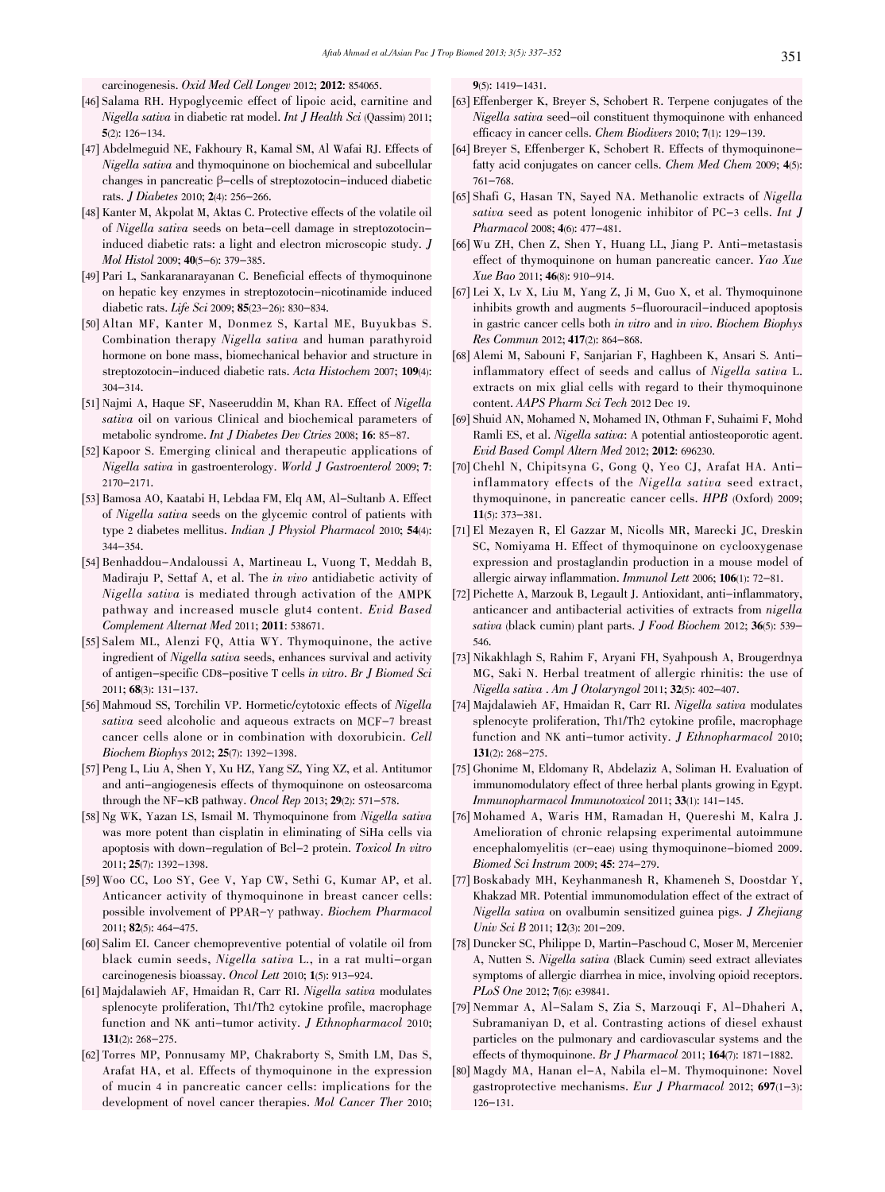carcinogenesis. Oxid Med Cell Longev 2012; 2012: 854065.

- [46] Salama RH. Hypoglycemic effect of lipoic acid, carnitine and Nigella sativa in diabetic rat model. Int J Health Sci (Qassim) 2011; 5(2): 126-134.
- [47] Abdelmeguid NE, Fakhoury R, Kamal SM, Al Wafai RJ. Effects of Nigella sativa and thymoquinone on biochemical and subcellular changes in pancreatic β-cells of streptozotocin-induced diabetic rats. J Diabetes 2010; 2(4): 256-266.
- [48] Kanter M, Akpolat M, Aktas C. Protective effects of the volatile oil of Nigella sativa seeds on beta-cell damage in streptozotocininduced diabetic rats: a light and electron microscopic study. J Mol Histol 2009; 40(5-6): 379-385.
- [49] Pari L, Sankaranarayanan C. Beneficial effects of thymoquinone on hepatic key enzymes in streptozotocin-nicotinamide induced diabetic rats. Life Sci 2009; 85(23-26): 830-834.
- [50] Altan MF, Kanter M, Donmez S, Kartal ME, Buyukbas S. Combination therapy Nigella sativa and human parathyroid hormone on bone mass, biomechanical behavior and structure in streptozotocin-induced diabetic rats. Acta Histochem 2007; 109(4): 304-314.
- [51] Najmi A, Haque SF, Naseeruddin M, Khan RA. Effect of Nigella sativa oil on various Clinical and biochemical parameters of metabolic syndrome. Int J Diabetes Dev Ctries 2008; 16: 85-87.
- [52] Kapoor S. Emerging clinical and therapeutic applications of Nigella sativa in gastroenterology. World J Gastroenterol 2009; 7: 2170-2171.
- [53] Bamosa AO, Kaatabi H, Lebdaa FM, Elq AM, Al-Sultanb A. Effect of Nigella sativa seeds on the glycemic control of patients with type <sup>2</sup> diabetes mellitus. Indian J Physiol Pharmacol 2010; 54(4): 344-354.
- [54] Benhaddou-Andaloussi A, Martineau L, Vuong T, Meddah B, Madiraju P, Settaf A, et al. The in vivo antidiabetic activity of Nigella sativa is mediated through activation of the AMPK pathway and increased muscle glut4 content. Evid Based Complement Alternat Med 2011; 2011: 538671.
- [55] Salem ML, Alenzi FQ, Attia WY. Thymoquinone, the active ingredient of Nigella sativa seeds, enhances survival and activity of antigen-specific CD8-positive T cells in vitro. Br J Biomed Sci 2011; 68(3): 131-137.
- [56] Mahmoud SS, Torchilin VP. Hormetic/cytotoxic effects of Nigella sativa seed alcoholic and aqueous extracts on MCF-7 breast cancer cells alone or in combination with doxorubicin. Cell Biochem Biophys 2012; 25(7): 1392-1398.
- [57] Peng L, Liu A, Shen Y, Xu HZ, Yang SZ, Ying XZ, et al. Antitumor and anti-angiogenesis effects of thymoquinone on osteosarcoma through the NF-κB pathway. Oncol Rep 2013; 29(2): 571-578.
- [58] Ng WK, Yazan LS, Ismail M. Thymoquinone from Nigella sativa was more potent than cisplatin in eliminating of SiHa cells via apoptosis with down-regulation of Bcl-2 protein. Toxicol In vitro 2011; 25(7): 1392-1398.
- [59] Woo CC, Loo SY, Gee V, Yap CW, Sethi G, Kumar AP, et al. Anticancer activity of thymoquinone in breast cancer cells: possible involvement of PPAR-<sup>γ</sup> pathway. Biochem Pharmacol 2011; 82(5): 464-475.
- [60] Salim EI. Cancer chemopreventive potential of volatile oil from black cumin seeds, Nigella sativa L., in a rat multi-organ carcinogenesis bioassay. Oncol Lett 2010; 1(5): 913-924.
- [61] Majdalawieh AF, Hmaidan R, Carr RI. Nigella sativa modulates splenocyte proliferation, Th1/Th2 cytokine profile, macrophage function and NK anti-tumor activity. J Ethnopharmacol 2010; 131(2): 268-275.
- [62] Torres MP, Ponnusamy MP, Chakraborty S, Smith LM, Das S, Arafat HA, et al. Effects of thymoquinone in the expression of mucin 4 in pancreatic cancer cells: implications for the development of novel cancer therapies. Mol Cancer Ther 2010;

 $9(5) \cdot 1419 - 1431$ 

- [63] Effenberger K, Breyer S, Schobert R. Terpene conjugates of the Nigella sativa seed-oil constituent thymoquinone with enhanced efficacy in cancer cells. Chem Biodivers 2010; 7(1): 129-139.
- [64] Breyer S, Effenberger K, Schobert R. Effects of thymoquinonefatty acid conjugates on cancer cells. Chem Med Chem 2009; 4(5): 761-768.
- [65] Shafi G, Hasan TN, Sayed NA. Methanolic extracts of Nigella sativa seed as potent lonogenic inhibitor of PC-3 cells. Int J Pharmacol 2008; 4(6): 477-481.
- [66] Wu ZH, Chen Z, Shen Y, Huang LL, Jiang P. Anti-metastasis effect of thymoquinone on human pancreatic cancer. Yao Xue Xue Bao 2011; 46(8): 910-914.
- [67] Lei X, Lv X, Liu M, Yang Z, Ji M, Guo X, et al. Thymoquinone inhibits growth and augments 5-fluorouracil-induced apoptosis in gastric cancer cells both in vitro and in vivo. Biochem Biophys Res Commun 2012; 417(2): 864-868.
- [68] Alemi M, Sabouni F, Sanjarian F, Haghbeen K, Ansari S. Antiinflammatory effect of seeds and callus of Nigella sativa L. extracts on mix glial cells with regard to their thymoquinone content. AAPS Pharm Sci Tech <sup>2012</sup> Dec 19.
- [69] Shuid AN, Mohamed N, Mohamed IN, Othman F, Suhaimi F, Mohd Ramli ES, et al. Nigella sativa: A potential antiosteoporotic agent. Evid Based Compl Altern Med 2012; 2012: 696230.
- [70] Chehl N, Chipitsyna G, Gong Q, Yeo CJ, Arafat HA. Antiinflammatory effects of the Nigella sativa seed extract, thymoquinone, in pancreatic cancer cells. HPB (Oxford) 2009; 11(5): 373-381.
- [71] El Mezayen R, El Gazzar M, Nicolls MR, Marecki JC, Dreskin SC, Nomiyama H. Effect of thymoquinone on cyclooxygenase expression and prostaglandin production in a mouse model of allergic airway inflammation. Immunol Lett 2006; 106(1): 72-81.
- [72] Pichette A, Marzouk B, Legault J. Antioxidant, anti-inflammatory, anticancer and antibacterial activities of extracts from nigella sativa (black cumin) plant parts. J Food Biochem 2012; 36(5): 539-546.
- [73] Nikakhlagh S, Rahim F, Aryani FH, Syahpoush A, Brougerdnya MG, Saki N. Herbal treatment of allergic rhinitis: the use of Nigella sativa . Am J Otolaryngol 2011; 32(5): 402-407.
- [74] Majdalawieh AF, Hmaidan R, Carr RI. Nigella sativa modulates splenocyte proliferation, Th1/Th2 cytokine profile, macrophage function and NK anti-tumor activity. J Ethnopharmacol 2010; 131(2): 268-275.
- [75] Ghonime M, Eldomany R, Abdelaziz A, Soliman H. Evaluation of immunomodulatory effect of three herbal plants growing in Egypt. Immunopharmacol Immunotoxicol 2011; 33(1): 141-145.
- [76] Mohamed A, Waris HM, Ramadan H, Quereshi M, Kalra J. Amelioration of chronic relapsing experimental autoimmune encephalomyelitis (cr-eae) using thymoquinone-biomed 2009. Biomed Sci Instrum 2009; 45: 274-279.
- [77] Boskabady MH, Keyhanmanesh R, Khameneh S, Doostdar Y, Khakzad MR. Potential immunomodulation effect of the extract of Nigella sativa on ovalbumin sensitized guinea pigs. J Zhejiang Univ Sci B 2011; 12(3): 201-209.
- [78] Duncker SC, Philippe D, Martin-Paschoud C, Moser M, Mercenier A, Nutten S. Nigella sativa (Black Cumin) seed extract alleviates symptoms of allergic diarrhea in mice, involving opioid receptors. PLoS One 2012; 7(6): e39841.
- [79] Nemmar A, Al-Salam S, Zia S, Marzouqi F, Al-Dhaheri A, Subramaniyan D, et al. Contrasting actions of diesel exhaust particles on the pulmonary and cardiovascular systems and the effects of thymoquinone. Br J Pharmacol 2011; 164(7): 1871-1882.
- [80] Magdy MA, Hanan el-A, Nabila el-M. Thymoquinone: Novel gastroprotective mechanisms. Eur J Pharmacol 2012; 697(1-3): 126-131.